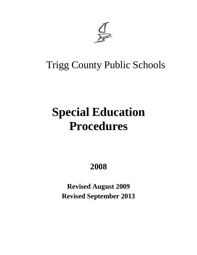

## Trigg County Public Schools

# **Special Education Procedures**

**2008**

**Revised August 2009 Revised September 2013**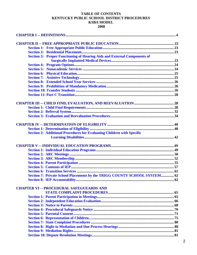### **TABLE OF CONTENTS** KENTUCKY PUBLIC SCHOOL DISTRICT PROCEDURES **KSBA MODEL**

|  | <b>Section 3: Proper Functioning of Hearing Aids and External Components of</b> |  |
|--|---------------------------------------------------------------------------------|--|
|  |                                                                                 |  |
|  |                                                                                 |  |
|  |                                                                                 |  |
|  |                                                                                 |  |
|  |                                                                                 |  |
|  |                                                                                 |  |
|  |                                                                                 |  |
|  |                                                                                 |  |
|  |                                                                                 |  |
|  |                                                                                 |  |
|  |                                                                                 |  |
|  |                                                                                 |  |
|  |                                                                                 |  |
|  |                                                                                 |  |
|  |                                                                                 |  |
|  | <b>Section 2: Additional Procedures for Evaluating Children with Specific</b>   |  |
|  |                                                                                 |  |
|  |                                                                                 |  |
|  |                                                                                 |  |
|  |                                                                                 |  |
|  |                                                                                 |  |
|  |                                                                                 |  |
|  |                                                                                 |  |
|  |                                                                                 |  |
|  | Section 7: Private School Placements by the TRIGG COUNTY SCHOOL SYSTEM 62       |  |
|  |                                                                                 |  |
|  | <b>CHAPTER VI -- PROCEDURAL SAFEGUEARDS AND</b>                                 |  |
|  |                                                                                 |  |
|  |                                                                                 |  |
|  |                                                                                 |  |
|  |                                                                                 |  |
|  |                                                                                 |  |
|  |                                                                                 |  |
|  |                                                                                 |  |
|  |                                                                                 |  |
|  |                                                                                 |  |
|  |                                                                                 |  |
|  |                                                                                 |  |
|  |                                                                                 |  |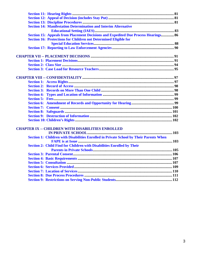| <b>Section 14: Manifestation Determination and Interim Alternative</b>                 |  |
|----------------------------------------------------------------------------------------|--|
|                                                                                        |  |
| Section 15: Appeals from Placement Decisions and Expedited Due Process Hearings 86     |  |
| <b>Section 16: Protections for Children not Determined Eligible for</b>                |  |
|                                                                                        |  |
|                                                                                        |  |
|                                                                                        |  |
|                                                                                        |  |
|                                                                                        |  |
|                                                                                        |  |
|                                                                                        |  |
|                                                                                        |  |
|                                                                                        |  |
|                                                                                        |  |
|                                                                                        |  |
|                                                                                        |  |
|                                                                                        |  |
|                                                                                        |  |
|                                                                                        |  |
|                                                                                        |  |
|                                                                                        |  |
| <b>CHAPTER IX -- CHILDREN WITH DISABILITIES ENROLLED</b>                               |  |
|                                                                                        |  |
| Section 1: Children with Disabilities Enrolled in Private School by Their Parents When |  |
| <b>Section 2: Child Find for Children with Disabilities Enrolled by Their</b>          |  |
|                                                                                        |  |
|                                                                                        |  |
|                                                                                        |  |
|                                                                                        |  |
|                                                                                        |  |
|                                                                                        |  |
|                                                                                        |  |
|                                                                                        |  |
|                                                                                        |  |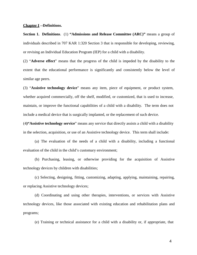#### **Chapter I --Definitions.**

**Section 1. Definitions**. (1) **"Admissions and Release Committee (ARC)"** means a group of individuals described in 707 KAR 1:320 Section 3 that is responsible for developing, reviewing, or revising an Individual Education Program (IEP) for a child with a disability.

(2) "**Adverse effect**" means that the progress of the child is impeded by the disability to the extent that the educational performance is significantly and consistently below the level of similar age peers.

(3) "**Assistive technology device**" means any item, piece of equipment, or product system, whether acquired commercially, off the shelf, modified, or customized, that is used to increase, maintain, or improve the functional capabilities of a child with a disability. The term does not include a medical device that is surgically implanted, or the replacement of such device.

(4**)"Assistive technology service**" means any service that directly assists a child with a disability in the selection, acquisition, or use of an Assistive technology device. This term shall include:

(a) The evaluation of the needs of a child with a disability, including a functional evaluation of the child in the child's customary environment;

(b) Purchasing, leasing, or otherwise providing for the acquisition of Assistive technology devices by children with disabilities;

(c) Selecting, designing, fitting, customizing, adapting, applying, maintaining, repairing, or replacing Assistive technology devices;

(d) Coordinating and using other therapies, interventions, or services with Assistive technology devices, like those associated with existing education and rehabilitation plans and programs;

(e) Training or technical assistance for a child with a disability or, if appropriate, that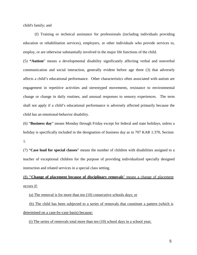child's family; and

(f) Training or technical assistance for professionals (including individuals providing education or rehabilitation services), employers, or other individuals who provide services to, employ, or are otherwise substantially involved in the major life functions of the child.

(5) **"Autism**" means a developmental disability significantly affecting verbal and nonverbal communication and social interaction, generally evident before age three (3) that adversely affects a child's educational performance. Other characteristics often associated with autism are engagement in repetitive activities and stereotyped movements, resistance to environmental change or change in daily routines, and unusual responses to sensory experiences. The term shall not apply if a child's educational performance is adversely affected primarily because the child has an emotional-behavior disability.

(6) "**Business day**" means Monday through Friday except for federal and state holidays, unless a holiday is specifically included in the designation of business day as in 707 KAR 1:370, Section 1.

(7) "**Case load for special classes**" means the number of children with disabilities assigned to a teacher of exceptional children for the purpose of providing individualized specially designed instruction and related services in a special class setting.

(8) **"Change of placement because of disciplinary removals**" means a change of placement occurs if:

(a) The removal is for more than ten (10) consecutive schools days; or

(b) The child has been subjected to a series of removals that constitute a pattern (which is determined on a case-by-case basis) because:

(i) The series of removals total more than ten (10) school days in a school year;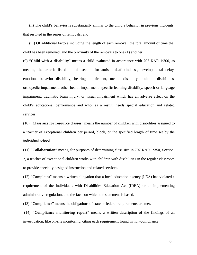(ii) The child's behavior is substantially similar to the child's behavior in previous incidents that resulted in the series of removals; and

(iii) Of additional factors including the length of each removal, the total amount of time the child has been removed, and the proximity of the removals to one (1) another

(9) "**Child with a disability**" means a child evaluated in accordance with 707 KAR 1:300, as meeting the criteria listed in this section for autism, deaf-blindness, developmental delay, emotional-behavior disability, hearing impairment, mental disability, multiple disabilities, orthopedic impairment, other health impairment, specific learning disability, speech or language impairment, traumatic brain injury, or visual impairment which has an adverse effect on the child's educational performance and who, as a result, needs special education and related services.

(10) **"Class size for resource classes**" means the number of children with disabilities assigned to a teacher of exceptional children per period, block, or the specified length of time set by the individual school.

(11) "**Collaboration**" means, for purposes of determining class size in 707 KAR 1:350, Section 2, a teacher of exceptional children works with children with disabilities in the regular classroom to provide specially designed instruction and related services.

(12) "**Complaint**" means a written allegation that a local education agency (LEA) has violated a requirement of the Individuals with Disabilities Education Act (IDEA) or an implementing administrative regulation, and the facts on which the statement is based.

(13) **"Compliance**" means the obligations of state or federal requirements are met.

(14) **"Compliance monitoring report**" means a written description of the findings of an investigation, like on-site monitoring, citing each requirement found in non-compliance.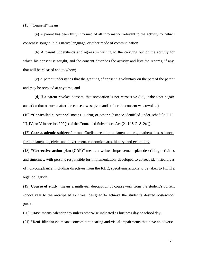(15) **"Consent**" means:

(a) A parent has been fully informed of all information relevant to the activity for which consent is sought, in his native language, or other mode of communication

(b) A parent understands and agrees in writing to the carrying out of the activity for which his consent is sought, and the consent describes the activity and lists the records, if any, that will be released and to whom;

(c) A parent understands that the granting of consent is voluntary on the part of the parent and may be revoked at any time; and

(d) If a parent revokes consent, that revocation is not retroactive (i.e., it does not negate an action that occurred after the consent was given and before the consent was revoked).

(16) **"Controlled substance**" means a drug or other substance identified under schedule I, II, III, IV, or V in section 202(c) of the Controlled Substances Act (21 U.S.C. 812(c)).

(17) **Core academic subjects**" means English, reading or language arts, mathematics, science, foreign language, civics and government, economics, arts, history, and geography.

(18) **"Corrective action plan (CAP)"** means a written improvement plan describing activities and timelines, with persons responsible for implementation, developed to correct identified areas of non-compliance, including directives from the KDE, specifying actions to be taken to fulfill a legal obligation.

(19) **Course of study**" means a multiyear description of coursework from the student's current school year to the anticipated exit year designed to achieve the student's desired post-school goals.

(20) **"Day**" means calendar day unless otherwise indicated as business day or school day.

(21) **"Deaf-Blindness"** means concomitant hearing and visual impairments that have an adverse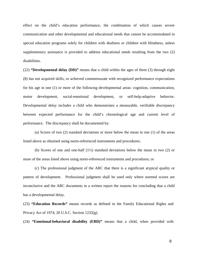effect on the child's education performance, the combination of which causes severe communication and other developmental and educational needs that cannot be accommodated in special education programs solely for children with deafness or children with blindness, unless supplementary assistance is provided to address educational needs resulting from the two (2) disabilities.

(22) **"Developmental delay (DD)"** means that a child within the ages of three (3) through eight (8) has not acquired skills, or achieved commensurate with recognized performance expectations for his age in one (1) or more of the following developmental areas: cognition, communication, motor development, social-emotional development, or self-help-adaptive behavior. Developmental delay includes a child who demonstrates a measurable, verifiable discrepancy between expected performance for the child's chronological age and current level of performance. The discrepancy shall be documented by:

(a) Scores of two (2) standard deviations or more below the mean in one (1) of the areas listed above as obtained using norm-referenced instruments and procedures;

(b) Scores of one and one-half (1½) standard deviations below the mean in two (2) or more of the areas listed above using norm-referenced instruments and procedures; or

(c) The professional judgment of the ARC that there is a significant atypical quality or pattern of development. Professional judgment shall be used only where normed scores are inconclusive and the ARC documents in a written report the reasons for concluding that a child has a developmental delay.

(23) **"Education Records"** means records as defined in the Family Educational Rights and Privacy Act of 1974, 20 U.S.C. Section 1232(g).

(24) **"Emotional-behavioral disability (EBD)"** means that a child, when provided with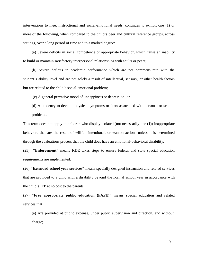interventions to meet instructional and social-emotional needs, continues to exhibit one (1) or more of the following, when compared to the child's peer and cultural reference groups, across settings, over a long period of time and to a marked degree:

(a) Severe deficits in social competence or appropriate behavior, which cause an inability to build or maintain satisfactory interpersonal relationships with adults or peers;

(b) Severe deficits in academic performance which are not commensurate with the student's ability level and are not solely a result of intellectual, sensory, or other health factors but are related to the child's social-emotional problem;

(c) A general pervasive mood of unhappiness or depression; or

(d) A tendency to develop physical symptoms or fears associated with personal or school problems.

This term does not apply to children who display isolated (not necessarily one (1)) inappropriate behaviors that are the result of willful, intentional, or wanton actions unless it is determined through the evaluations process that the child does have an emotional-behavioral disability.

(25) **"Enforcement"** means KDE takes steps to ensure federal and state special education requirements are implemented.

(26) **"Extended school year services"** means specially designed instruction and related services that are provided to a child with a disability beyond the normal school year in accordance with the child's IEP at no cost to the parents.

(27) **"Free appropriate public education (FAPE)"** means special education and related services that:

(a) Are provided at public expense, under public supervision and direction, and without charge;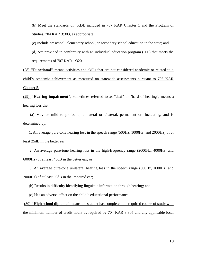(b) Meet the standards of KDE included in 707 KAR Chapter 1 and the Program of Studies, 704 KAR 3:303, as appropriate;

(c) Include preschool, elementary school, or secondary school education in the state; and

(d) Are provided in conformity with an individual education program (IEP) that meets the requirements of 707 KAR 1:320.

(28) **"Functional"** means activities and skills that are not considered academic or related to a child's academic achievement as measured on statewide assessments pursuant to 703 KAR Chapter 5.

(29) **"Hearing impairment",** sometimes referred to as "deaf" or "hard of hearing", means a hearing loss that:

(a) May be mild to profound, unilateral or bilateral, permanent or fluctuating, and is determined by:

1. An average pure-tone hearing loss in the speech range (500Hz, 1000Hz, and 2000Hz) of at least 25dB in the better ear;

2. An average pure-tone hearing loss in the high-frequency range (2000Hz, 4000Hz, and 6000Hz) of at least 45dB in the better ear; or

3. An average pure-tone unilateral hearing loss in the speech range (500Hz, 1000Hz, and 2000Hz) of at least 60dB in the impaired ear;

(b) Results in difficulty identifying linguistic information through hearing; and

(c) Has an adverse effect on the child's educational performance.

(30) **"High school diploma"** means the student has completed the required course of study with the minimum number of credit hours as required by 704 KAR 3:305 and any applicable local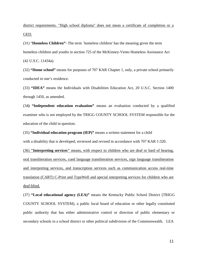district requirements. "High school diploma" does not mean a certificate of completion or a GED.

(31) "**Homeless Children"**- The term `homeless children' has the meaning given the term homeless children and youths in section 725 of the McKinney-Vento Homeless Assistance Act (42 U.S.C. 11434a).

(32) **"Home school"** means for purposes of 707 KAR Chapter 1, only, a private school primarily conducted in one's residence.

(33) **"IDEA"** means the Individuals with Disabilities Education Act, 20 U.S.C. Section 1400 through 1450, as amended.

(34**) "Independent education evaluation"** means an evaluation conducted by a qualified examiner who is not employed by the TRIGG COUNTY SCHOOL SYSTEM responsible for the education of the child in question.

(35) **"Individual education program (IEP)"** means a written statement for a child

with a disability that is developed, reviewed and revised in accordance with 707 KAR 1:320.

(36) **"Interpreting services"** means, with respect to children who are deaf or hard of hearing, oral transliteration services, cued language transliteration services, sign language transliteration and interpreting services, and transcription services such as communication access real-time translation (CART) C-Print and TypeWell and special interpreting services for children who are deaf-blind.

(37) **"Local educational agency (LEA)"** means the Kentucky Public School District (TRIGG COUNTY SCHOOL SYSTEM), a public local board of education or other legally constituted public authority that has either administrative control or direction of public elementary or secondary schools in a school district or other political subdivision of the Commonwealth. LEA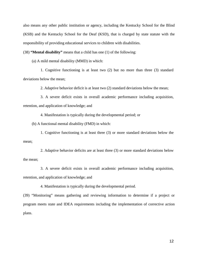also means any other public institution or agency, including the Kentucky School for the Blind (KSB) and the Kentucky School for the Deaf (KSD), that is charged by state statute with the responsibility of providing educational services to children with disabilities.

(38) **"Mental disability"** means that a child has one (1) of the following:

(a) A mild mental disability (MMD) in which:

1. Cognitive functioning is at least two (2) but no more than three (3) standard deviations below the mean;

2. Adaptive behavior deficit is at least two (2) standard deviations below the mean;

3. A severe deficit exists in overall academic performance including acquisition, retention, and application of knowledge; and

4. Manifestation is typically during the developmental period; or

(b) A functional mental disability (FMD) in which:

1. Cognitive functioning is at least three (3) or more standard deviations below the mean;

2. Adaptive behavior deficits are at least three (3) or more standard deviations below the mean;

3. A severe deficit exists in overall academic performance including acquisition, retention, and application of knowledge; and

4. Manifestation is typically during the developmental period.

(39) "Monitoring" means gathering and reviewing information to determine if a project or program meets state and IDEA requirements including the implementation of corrective action plans.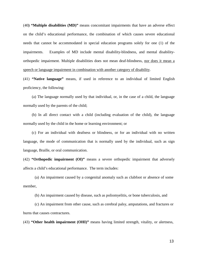(40**) "Multiple disabilities (MD)"** means concomitant impairments that have an adverse effect on the child's educational performance, the combination of which causes severe educational needs that cannot be accommodated in special education programs solely for one (1) of the impairments. Examples of MD include mental disability-blindness, and mental disabilityorthopedic impairment. Multiple disabilities does not mean deaf-blindness, nor does it mean a speech or language impairment in combination with another category of disability.

(41) **"Native language"** means, if used in reference to an individual of limited English proficiency, the following:

(a) The language normally used by that individual, or, in the case of a child, the language normally used by the parents of the child;

(b) In all direct contact with a child (including evaluation of the child), the language normally used by the child in the home or learning environment; or

(c) For an individual with deafness or blindness, or for an individual with no written language, the mode of communication that is normally used by the individual, such as sign language, Braille, or oral communication.

(42) **"Orthopedic impairment (OI)"** means a severe orthopedic impairment that adversely affects a child's educational performance. The term includes:

(a) An impairment caused by a congenital anomaly such as clubfoot or absence of some member,

(b) An impairment caused by disease, such as poliomyelitis, or bone tuberculosis, and

(c) An impairment from other cause, such as cerebral palsy, amputations, and fractures or burns that causes contractures.

(43) **"Other health impairment (OHI)"** means having limited strength, vitality, or alertness,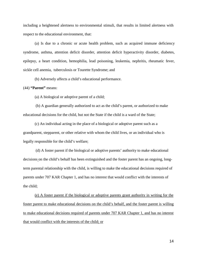including a heightened alertness to environmental stimuli, that results in limited alertness with respect to the educational environment, that:

(a) Is due to a chronic or acute health problem, such as acquired immune deficiency syndrome, asthma, attention deficit disorder, attention deficit hyperactivity disorder, diabetes, epilepsy, a heart condition, hemophilia, lead poisoning, leukemia, nephritis, rheumatic fever, sickle cell anemia, tuberculosis or Tourette Syndrome; and

(b) Adversely affects a child's educational performance.

#### (44) **"Parent"** means:

(a) A biological or adoptive parent of a child;

(b) A guardian generally authorized to act as the child's parent, or authorized to make educational decisions for the child, but not the State if the child is a ward of the State;

(c) An individual acting in the place of a biological or adoptive parent such as a grandparent, stepparent, or other relative with whom the child lives, or an individual who is legally responsible for the child's welfare;

(d) A foster parent if the biological or adoptive parents' authority to make educational decisions on the child's behalf has been extinguished and the foster parent has an ongoing, longterm parental relationship with the child, is willing to make the educational decisions required of parents under 707 KAR Chapter 1, and has no interest that would conflict with the interests of the child;

(e) A foster parent if the biological or adoptive parents grant authority in writing for the foster parent to make educational decisions on the child's behalf, and the foster parent is willing to make educational decisions required of parents under 707 KAR Chapter 1, and has no interest that would conflict with the interests of the child; or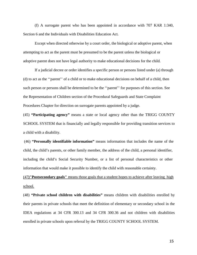(f) A surrogate parent who has been appointed in accordance with 707 KAR 1:340, Section 6 and the Individuals with Disabilities Education Act.

Except when directed otherwise by a court order, the biological or adoptive parent, when attempting to act as the parent must be presumed to be the parent unless the biological or adoptive parent does not have legal authority to make educational decisions for the child.

If a judicial decree or order identifies a specific person or persons listed under (a) through (d) to act as the ''parent'' of a child or to make educational decisions on behalf of a child, then such person or persons shall be determined to be the ''parent'' for purposes of this section. See the Representation of Children section of the Procedural Safeguards and State Complaint Procedures Chapter for direction on surrogate parents appointed by a judge.

(45) **"Participating agency"** means a state or local agency other than the TRIGG COUNTY SCHOOL SYSTEM that is financially and legally responsible for providing transition services to a child with a disability.

(46) **"Personally identifiable information"** means information that includes the name of the child, the child's parents, or other family member, the address of the child, a personal identifier, including the child's Social Security Number, or a list of personal characteristics or other information that would make it possible to identify the child with reasonable certainty.

(47**)"Postsecondary goals"** means those goals that a student hopes to achieve after leaving high school.

(48) **"Private school children with disabilities"** means children with disabilities enrolled by their parents in private schools that meet the definition of elementary or secondary school in the IDEA regulations at 34 CFR 300.13 and 34 CFR 300.36 and not children with disabilities enrolled in private schools upon referral by the TRIGG COUNTY SCHOOL SYSTEM.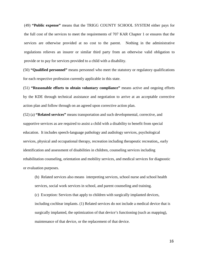(49) **"Public expense"** means that the TRIGG COUNTY SCHOOL SYSTEM either pays for the full cost of the services to meet the requirements of 707 KAR Chapter 1 or ensures that the services are otherwise provided at no cost to the parent. Nothing in the administrative regulations relieves an insurer or similar third party from an otherwise valid obligation to provide or to pay for services provided to a child with a disability.

(50) **"Qualified personnel"** means personnel who meet the statutory or regulatory qualifications for each respective profession currently applicable in this state.

(51) **"Reasonable efforts to obtain voluntary compliance"** means active and ongoing efforts by the KDE through technical assistance and negotiation to arrive at an acceptable corrective action plan and follow through on an agreed upon corrective action plan.

(52) (a) **"Related services"** means transportation and such developmental, corrective, and supportive services as are required to assist a child with a disability to benefit from special education. It includes speech-language pathology and audiology services, psychological services, physical and occupational therapy, recreation including therapeutic recreation,, early identification and assessment of disabilities in children, counseling services including rehabilitation counseling, orientation and mobility services, and medical services for diagnostic or evaluation purposes.

(b) Related services also means interpreting services, school nurse and school health services, social work services in school, and parent counseling and training.

(c) Exception: Services that apply to children with surgically implanted devices, including cochlear implants. (1) Related services do not include a medical device that is surgically implanted, the optimization of that device's functioning (such as mapping), maintenance of that device, or the replacement of that device.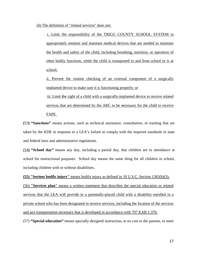(d) The definition of "related services" does not:

i. Limit the responsibility of the TRIGG COUNTY SCHOOL SYSTEM to appropriately monitor and maintain medical devices that are needed to maintain the health and safety of the child, including breathing, nutrition, or operation of other bodily functions, while the child is transported to and from school or is at school;

ii. Prevent the routine checking of an external component of a surgically implanted device to make sure it is functioning properly; or

iii. Limit **t**he right of a child with a surgically-implanted device to receive related services that are determined by the ARC to be necessary for the child to receive FAPE.

**(**53**) "Sanctions"** means actions, such as technical assistance, consultation, or training that are taken by the KDE in response to a LEA's failure to comply with the required standards in state and federal laws and administrative regulations.

(54**) "School day"** means any day, including a partial day, that children are in attendance at school for instructional purposes. School day means the same thing for all children in school, including children with or without disabilities.

**(55) "Serious bodily injury"** means bodily injury as defined in 18 U.S.C. Section 1365(h)(3). (56) **"Services plan"** means a written statement that describes the special education or related services that the LEA will provide to a parentally-placed child with a disability enrolled in a private school who has been designated to receive services, including the location of the services and any transportation necessary that is developed in accordance with 707 KAR 1:370.

(57) **"Special education"** means specially designed instruction, at no cost to the parents, to meet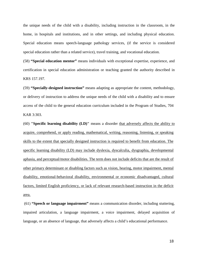the unique needs of the child with a disability, including instruction in the classroom, in the home, in hospitals and institutions, and in other settings, and including physical education. Special education means speech-language pathology services, (if the service is considered special education rather than a related service), travel training, and vocational education.

(58) **"Special education mentor"** means individuals with exceptional expertise, experience, and certification in special education administration or teaching granted the authority described in KRS 157.197.

(59) **"Specially-designed instruction"** means adapting as appropriate the content, methodology, or delivery of instruction to address the unique needs of the child with a disability and to ensure access of the child to the general education curriculum included in the Program of Studies, 704 KAR 3:303.

(60) **"Specific learning disability (LD)"** means a disorder that adversely affects the ability to acquire, comprehend, or apply reading, mathematical, writing, reasoning, listening, or speaking skills to the extent that specially designed instruction is required to benefit from education. The specific learning disability (LD) may include dyslexia, dyscalculia, dysgraphia, developmental aphasia, and perceptual/motor disabilities. The term does not include deficits that are the result of other primary determinant or disabling factors such as vision, hearing, motor impairment, mental disability, emotional-behavioral disability, environmental or economic disadvantaged, cultural factors, limited English proficiency, or lack of relevant research-based instruction in the deficit area.

(61) **"Speech or language impairment"** means a communication disorder, including stuttering, impaired articulation, a language impairment, a voice impairment, delayed acquisition of language, or an absence of language, that adversely affects a child's educational performance.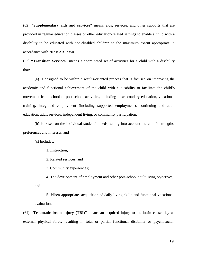(62) **"Supplementary aids and services"** means aids, services, and other supports that are provided in regular education classes or other education-related settings to enable a child with a disability to be educated with non-disabled children to the maximum extent appropriate in accordance with 707 KAR 1:350.

(63) **"Transition Services"** means a coordinated set of activities for a child with a disability that:

(a) Is designed to be within a results-oriented process that is focused on improving the academic and functional achievement of the child with a disability to facilitate the child's movement from school to post-school activities, including postsecondary education, vocational training, integrated employment (including supported employment), continuing and adult education, adult services, independent living, or community participation;

(b) Is based on the individual student's needs, taking into account the child's strengths, preferences and interests; and

(c) Includes:

1. Instruction;

2. Related services; and

3. Community experiences;

4. The development of employment and other post-school adult living objectives; and

5. When appropriate, acquisition of daily living skills and functional vocational evaluation.

(64) **"Traumatic brain injury (TBI)"** means an acquired injury to the brain caused by an external physical force, resulting in total or partial functional disability or psychosocial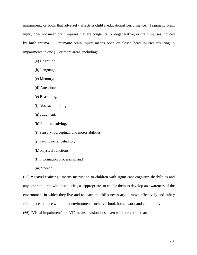impairment, or both, that adversely affects a child's educational performance. Traumatic brain injury does not mean brain injuries that are congenital or degenerative, or brain injuries induced by birth trauma. Traumatic brain injury means open or closed head injuries resulting in impairments in one (1) or more areas, including:

- (a) Cognition;
- (b) Language;
- (c) Memory;
- (d) Attention;
- (e) Reasoning;
- (f) Abstract thinking;
- (g) Judgment;
- (h) Problem-solving;
- (i) Sensory, perceptual, and motor abilities;
- (j) Psychosocial behavior;
- (k) Physical functions;
- (l) Information processing; and
- (m) Speech.

(65**) "Travel training"** means instruction to children with significant cognitive disabilities and any other children with disabilities, as appropriate, to enable them to develop an awareness of the environment in which they live and to learn the skills necessary to move effectively and safely from place to place within that environment, such as school, home, work and community.

**(66)** "Visual impairment" or "VI" means a vision loss, even with correction that: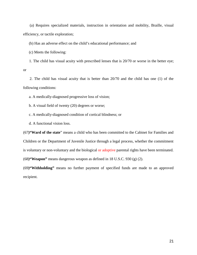(a) Requires specialized materials, instruction in orientation and mobility, Braille, visual efficiency, or tactile exploration;

(b) Has an adverse effect on the child's educational performance; and

(c) Meets the following:

1. The child has visual acuity with prescribed lenses that is 20/70 or worse in the better eye; or

2. The child has visual acuity that is better than 20/70 and the child has one (1) of the following conditions:

a. A medically-diagnosed progressive loss of vision;

b. A visual field of twenty (20) degrees or worse;

c. A medically-diagnosed condition of cortical blindness; or

d. A functional vision loss.

(67**)"Ward of the state**" means a child who has been committed to the Cabinet for Families and Children or the Department of Juvenile Justice through a legal process, whether the commitment is voluntary or non-voluntary and the biological or adoptive parental rights have been terminated. (68**)"Weapon"** means dangerous weapon as defined in 18 U.S.C. 930 (g) (2).

(69**)"Withholding"** means no further payment of specified funds are made to an approved recipient.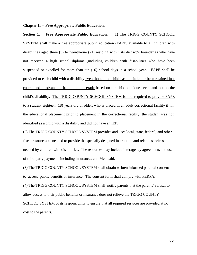#### **Chapter II -- Free Appropriate Public Education.**

**Section 1. Free Appropriate Public Education**. (1) The TRIGG COUNTY SCHOOL SYSTEM shall make a free appropriate public education (FAPE) available to all children with disabilities aged three (3) to twenty-one (21) residing within its district's boundaries who have not received a high school diploma ,including children with disabilities who have been suspended or expelled for more than ten (10) school days in a school year. FAPE shall be provided to each child with a disability even though the child has not failed or been retained in a course and is advancing from grade to grade based on the child's unique needs and not on the child's disability. The TRIGG COUNTY SCHOOL SYSTEM is not required to provide FAPE to a student eighteen (18) years old or older, who is placed in an adult correctional facility if, in the educational placement prior to placement in the correctional facility, the student was not identified as a child with a disability and did not have an IEP.

(2) The TRIGG COUNTY SCHOOL SYSTEM provides and uses local, state, federal, and other fiscal resources as needed to provide the specially designed instruction and related services needed by children with disabilities. The resources may include interagency agreements and use of third party payments including insurances and Medicaid.

(3) The TRIGG COUNTY SCHOOL SYSTEM shall obtain written informed parental consent to access public benefits or insurance. The consent form shall comply with FERPA.

(4) The TRIGG COUNTY SCHOOL SYSTEM shall notify parents that the parents' refusal to allow access to their public benefits or insurance does not relieve the TRIGG COUNTY SCHOOL SYSTEM of its responsibility to ensure that all required services are provided at no cost to the parents.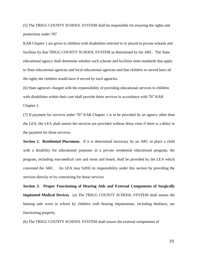(5) The TRIGG COUNTY SCHOOL SYSTEM shall be responsible for ensuring the rights and protections under 707

KAR Chapter 1 are given to children with disabilities referred to or placed in private schools and facilities by that TRIGG COUNTY SCHOOL SYSTEM as determined by the ARC. The State educational agency shall determine whether such schools and facilities meet standards that apply to State educational agencies and local educational agencies and that children so served have all the rights the children would have if served by such agencies.

(6) State agencies charged with the responsibility of providing educational services to children with disabilities within their care shall provide those services in accordance with 707 KAR Chapter 1.

(7) If payment for services under 707 KAR Chapter 1 is to be provided by an agency other than the LEA, the LEA shall ensure the services are provided without delay even if there is a delay in the payment for those services.

**Section 2. Residential Placement.** If it is determined necessary by an ARC to place a child with a disability for educational purposes in a private residential educational program, the program, including non-medical care and room and board, shall be provided by the LEA which convened the ARC. An LEA may fulfill its responsibility under this section by providing the services directly or by contracting for those services.

**Section 3. Proper Functioning of Hearing Aids and External Components of Surgicall***y*  **Implanted Medical Devices***.* (a) The TRIGG COUNTY SCHOOL SYSTEM shall ensure the hearing aids worn in school by children with hearing impairments, including deafness, are functioning properly.

(b) The TRIGG COUNTY SCHOOL SYSTEM shall ensure the external components of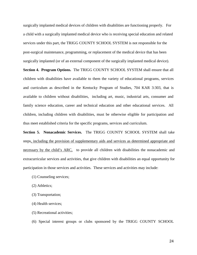surgically implanted medical devices of children with disabilities are functioning properly. For a child with a surgically implanted medical device who is receiving special education and related services under this part, the TRIGG COUNTY SCHOOL SYSTEM is not responsible for the post-surgical maintenance, programming, or replacement of the medical device that has been surgically implanted (or of an external component of the surgically implanted medical device).

**Section 4. Program Options.** The TRIGG COUNTY SCHOOL SYSTEM shall ensure that all children with disabilities have available to them the variety of educational programs, services and curriculum as described in the Kentucky Program of Studies, 704 KAR 3:303, that is available to children without disabilities, including art, music, industrial arts, consumer and family science education, career and technical education and other educational services. All children, including children with disabilities, must be otherwise eligible for participation and thus meet established criteria for the specific programs, services and curriculum.

**Section 5. Nonacademic Services.** The TRIGG COUNTY SCHOOL SYSTEM shall take steps, including the provision of supplementary aids and services as determined appropriate and necessary by the child's ARC, to provide all children with disabilities the nonacademic and extracurricular services and activities, that give children with disabilities an equal opportunity for participation in those services and activities. These services and activities may include:

- (1) Counseling services;
- (2) Athletics;
- (3) Transportation;
- (4) Health services;
- (5) Recreational activities;
- (6) Special interest groups or clubs sponsored by the TRIGG COUNTY SCHOOL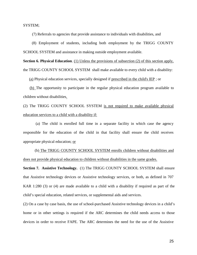SYSTEM;

(7) Referrals to agencies that provide assistance to individuals with disabilities, and

(8) Employment of students, including both employment by the TRIGG COUNTY SCHOOL SYSTEM and assistance in making outside employment available.

**Section 6. Physical Education**. (1) Unless the provisions of subsection (2) of this section apply, the TRIGG COUNTY SCHOOL SYSTEM shall make available to every child with a disability:

(a) Physical education services, specially designed if prescribed in the child's IEP ; or

(b) The opportunity to participate in the regular physical education program available to children without disabilities.

(2) The TRIGG COUNTY SCHOOL SYSTEM is not required to make available physical education services to a child with a disability if:

(a) The child is enrolled full time in a separate facility in which case the agency responsible for the education of the child in that facility shall ensure the child receives appropriate physical education; or

(b) The TRIGG COUNTY SCHOOL SYSTEM enrolls children without disabilities and does not provide physical education to children without disabilities in the same grades.

**Section 7. Assistive Technology.** (1) The TRIGG COUNTY SCHOOL SYSTEM shall ensure that Assistive technology devices or Assistive technology services, or both, as defined in 707 KAR 1:280 (3) or (4) are made available to a child with a disability if required as part of the child's special education, related services, or supplemental aids and services.

(2) On a case by case basis, the use of school-purchased Assistive technology devices in a child's home or in other settings is required if the ARC determines the child needs access to those devices in order to receive FAPE. The ARC determines the need for the use of the Assistive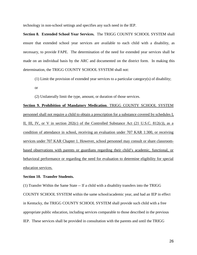technology in non-school settings and specifies any such need in the IEP.

**Section 8. Extended School Year Services.** The TRIGG COUNTY SCHOOL SYSTEM shall ensure that extended school year services are available to each child with a disability, as necessary, to provide FAPE. The determination of the need for extended year services shall be made on an individual basis by the ARC and documented on the district form. In making this determination, the TRIGG COUNTY SCHOOL SYSTEM shall not:

(1) Limit the provision of extended year services to a particular category(s) of disability;

or

(2) Unilaterally limit the type, amount, or duration of those services.

**Section 9. Prohibition of Mandatory Medication**. TRIGG COUNTY SCHOOL SYSTEM personnel shall not require a child to obtain a prescription for a substance covered by schedules I, II, III, IV, or V in section  $202(c)$  of the Controlled Substance Act  $(21 \text{ U.S.C. } 812(c))$ , as a condition of attendance in school, receiving an evaluation under 707 KAR 1:300, or receiving services under 707 KAR Chapter 1. However, school personnel may consult or share classroombased observations with parents or guardians regarding their child's academic, functional, or behavioral performance or regarding the need for evaluation to determine eligibility for special education services.

#### **Section 10. Transfer Students.**

(1) Transfer Within the Same State -- If a child with a disability transfers into the TRIGG COUNTY SCHOOL SYSTEM within the same school/academic year, and had an IEP in effect in Kentucky, the TRIGG COUNTY SCHOOL SYSTEM shall provide such child with a free appropriate public education, including services comparable to those described in the previous IEP. These services shall be provided in consultation with the parents and until the TRIGG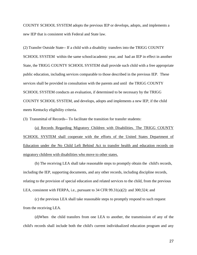COUNTY SCHOOL SYSTEM adopts the previous IEP or develops, adopts, and implements a new IEP that is consistent with Federal and State law.

(2) Transfer Outside State-- If a child with a disability transfers into the TRIGG COUNTY SCHOOL SYSTEM within the same school/academic year, and had an IEP in effect in another State, the TRIGG COUNTY SCHOOL SYSTEM shall provide such child with a free appropriate public education, including services comparable to those described in the previous IEP. These services shall be provided in consultation with the parents and until the TRIGG COUNTY SCHOOL SYSTEM conducts an evaluation, if determined to be necessary by the TRIGG COUNTY SCHOOL SYSTEM, and develops, adopts and implements a new IEP, if the child meets Kentucky eligibility criteria.

(3) Transmittal of Records-- To facilitate the transition for transfer students:

(a) Records Regarding Migratory Children with Disabilities. The TRIGG COUNTY SCHOOL SYSTEM shall cooperate with the efforts of the United States Department of Education under the No Child Left Behind Act to transfer health and education records on migratory children with disabilities who move to other states.

(b) The receiving LEA shall take reasonable steps to promptly obtain the child's records, including the IEP, supporting documents, and any other records, including discipline records, relating to the provision of special education and related services to the child, from the previous LEA, consistent with FERPA, i.e., pursuant to 34 CFR 99.31(a)(2): and 300;324; and

(c) the previous LEA shall take reasonable steps to promptly respond to such request from the receiving LEA.

(d)When the child transfers from one LEA to another, the transmission of any of the child's records shall include both the child's current individualized education program and any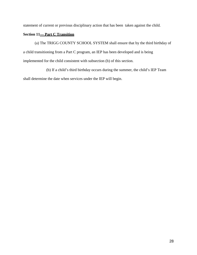statement of current or previous disciplinary action that has been taken against the child.

#### **Section 11— Part C Transition**

(a) The TRIGG COUNTY SCHOOL SYSTEM shall ensure that by the third birthday of a child transitioning from a Part C program, an IEP has been developed and is being implemented for the child consistent with subsection (b) of this section.

(b) If a child's third birthday occurs during the summer, the child's IEP Team

shall determine the date when services under the IEP will begin.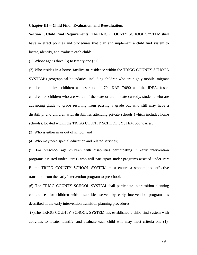#### **Chapter III -- Child Find , Evaluation, and Reevaluation.**

**Section 1. Child Find Requirements**. The TRIGG COUNTY SCHOOL SYSTEM shall have in effect policies and procedures that plan and implement a child find system to locate, identify, and evaluate each child:

(1) Whose age is three  $(3)$  to twenty one  $(21)$ ;

(2) Who resides in a home, facility, or residence within the TRIGG COUNTY SCHOOL SYSTEM's geographical boundaries, including children who are highly mobile, migrant children, homeless children as described in 704 KAR 7:090 and the IDEA, foster children, or children who are wards of the state or are in state custody, students who are advancing grade to grade resulting from passing a grade but who still may have a disability; and children with disabilities attending private schools (which includes home schools), located within the TRIGG COUNTY SCHOOL SYSTEM boundaries;

(3) Who is either in or out of school; and

(4) Who may need special education and related services;

(5) For preschool age children with disabilities participating in early intervention programs assisted under Part C who will participate under programs assisted under Part B, the TRIGG COUNTY SCHOOL SYSTEM must ensure a smooth and effective transition from the early intervention program to preschool.

(6) The TRIGG COUNTY SCHOOL SYSTEM shall participate in transition planning conferences for children with disabilities served by early intervention programs as described in the early intervention transition planning procedures.

(7)The TRIGG COUNTY SCHOOL SYSTEM has established a child find system with activities to locate, identify, and evaluate each child who may meet criteria one (1)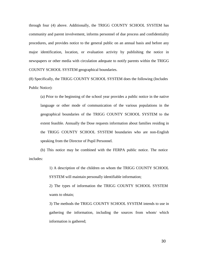through four (4) above. Additionally, the TRIGG COUNTY SCHOOL SYSTEM has community and parent involvement, informs personnel of due process and confidentiality procedures, and provides notice to the general public on an annual basis and before any major identification, location, or evaluation activity by publishing the notice in newspapers or other media with circulation adequate to notify parents within the TRIGG COUNTY SCHOOL SYSTEM geographical boundaries.

(8) Specifically, the TRIGG COUNTY SCHOOL SYSTEM does the following (Includes Public Notice):

(a) Prior to the beginning of the school year provides a public notice in the native language or other mode of communication of the various populations in the geographical boundaries of the TRIGG COUNTY SCHOOL SYSTEM to the extent feasible. Annually the Dose requests information about families residing in the TRIGG COUNTY SCHOOL SYSTEM boundaries who are non-English speaking from the Director of Pupil Personnel.

(b) This notice may be combined with the FERPA public notice. The notice includes:

> 1) A description of the children on whom the TRIGG COUNTY SCHOOL SYSTEM will maintain personally identifiable information;

> 2) The types of information the TRIGG COUNTY SCHOOL SYSTEM wants to obtain;

3) The methods the TRIGG COUNTY SCHOOL SYSTEM intends to use in gathering the information, including the sources from whom/ which information is gathered;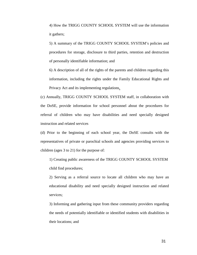4) How the TRIGG COUNTY SCHOOL SYSTEM will use the information it gathers;

5) A summary of the TRIGG COUNTY SCHOOL SYSTEM's policies and procedures for storage, disclosure to third parties, retention and destruction of personally identifiable information; and

6) A description of all of the rights of the parents and children regarding this information, including the rights under the Family Educational Rights and Privacy Act and its implementing regulations.

(c) Annually, TRIGG COUNTY SCHOOL SYSTEM staff, in collaboration with the DoSE, provide information for school personnel about the procedures for referral of children who may have disabilities and need specially designed instruction and related services

(d) Prior to the beginning of each school year, the DoSE consults with the representatives of private or parochial schools and agencies providing services to children (ages 3 to 21) for the purpose of:

1) Creating public awareness of the TRIGG COUNTY SCHOOL SYSTEM child find procedures;

2) Serving as a referral source to locate all children who may have an educational disability and need specially designed instruction and related services;

3) Informing and gathering input from these community providers regarding the needs of potentially identifiable or identified students with disabilities in their locations; and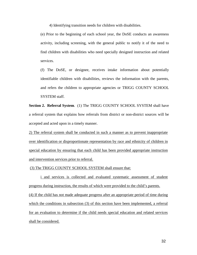4) Identifying transition needs for children with disabilities.

(e) Prior to the beginning of each school year, the DoSE conducts an awareness activity, including screening, with the general public to notify it of the need to find children with disabilities who need specially designed instruction and related services.

(f) The DoSE, or designee, receives intake information about potentially identifiable children with disabilities, reviews the information with the parents, and refers the children to appropriate agencies or TRIGG COUNTY SCHOOL SYSTEM staff.

**Section 2. Referral System**. (1) The TRIGG COUNTY SCHOOL SYSTEM shall have a referral system that explains how referrals from district or non-district sources will be accepted and acted upon in a timely manner.

2) The referral system shall be conducted in such a manner as to prevent inappropriate over identification or disproportionate representation by race and ethnicity of children in special education by ensuring that each child has been provided appropriate instruction and intervention services prior to referral.

(3) The TRIGG COUNTY SCHOOL SYSTEM shall ensure that:

i and services is collected and evaluated systematic assessment of student progress during instruction, the results of which were provided to the child's parents. (4) If the child has not made adequate progress after an appropriate period of time during which the conditions in subsection (3) of this section have been implemented, a referral for an evaluation to determine if the child needs special education and related services shall be considered.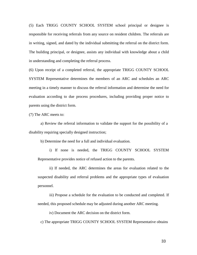(5) Each TRIGG COUNTY SCHOOL SYSTEM school principal or designee is responsible for receiving referrals from any source on resident children. The referrals are in writing, signed, and dated by the individual submitting the referral on the district form. The building principal, or designee, assists any individual with knowledge about a child in understanding and completing the referral process.

(6) Upon receipt of a completed referral, the appropriate TRIGG COUNTY SCHOOL SYSTEM Representative determines the members of an ARC and schedules an ARC meeting in a timely manner to discuss the referral information and determine the need for evaluation according to due process procedures, including providing proper notice to parents using the district form.

(7) The ARC meets to:

a) Review the referral information to validate the support for the possibility of a disability requiring specially designed instruction;

b) Determine the need for a full and individual evaluation.

i) If none is needed, the TRIGG COUNTY SCHOOL SYSTEM Representative provides notice of refused action to the parents.

ii) If needed, the ARC determines the areas for evaluation related to the suspected disability and referral problems and the appropriate types of evaluation personnel.

iii) Propose a schedule for the evaluation to be conducted and completed. If needed, this proposed schedule may be adjusted during another ARC meeting.

iv) Document the ARC decision on the district form.

c) The appropriate TRIGG COUNTY SCHOOL SYSTEM Representative obtains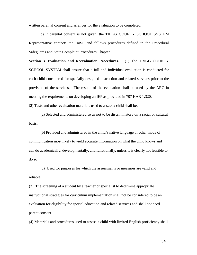written parental consent and arranges for the evaluation to be completed.

d) If parental consent is not given, the TRIGG COUNTY SCHOOL SYSTEM Representative contacts the DoSE and follows procedures defined in the Procedural Safeguards and State Complaint Procedures Chapter.

**Section 3. Evaluation and Reevaluation Procedures.** (1) The TRIGG COUNTY SCHOOL SYSTEM shall ensure that a full and individual evaluation is conducted for each child considered for specially designed instruction and related services prior to the provision of the services. The results of the evaluation shall be used by the ARC in meeting the requirements on developing an IEP as provided in 707 KAR 1:320.

(2) Tests and other evaluation materials used to assess a child shall be:

(a) Selected and administered so as not to be discriminatory on a racial or cultural basis;

(b) Provided and administered in the child's native language or other mode of communication most likely to yield accurate information on what the child knows and can do academically, developmentally, and functionally, unless it is clearly not feasible to do so

(c) Used for purposes for which the assessments or measures are valid and reliable.

(3) The screening of a student by a teacher or specialist to determine appropriate instructional strategies for curriculum implementation shall not be considered to be an evaluation for eligibility for special education and related services and shall not need parent consent.

(4) Materials and procedures used to assess a child with limited English proficiency shall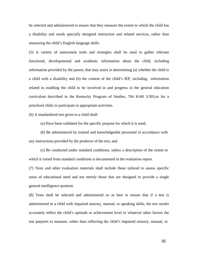be selected and administered to ensure that they measure the extent to which the child has a disability and needs specially designed instruction and related services, rather than measuring the child's English language skills.

(5) A variety of assessment tools and strategies shall be used to gather relevant functional, developmental and academic information about the child, including information provided by the parent, that may assist in determining (a) whether the child is a child with a disability and (b) the content of the child's IEP, including information related to enabling the child to be involved in and progress in the general education curriculum described in the Kentucky Program of Studies, 704 KAR 3:303,or for a preschool child, to participate in appropriate activities.

(6) A standardized test given to a child shall:

(a) Have been validated for the specific purpose for which it is used;

(b) Be administered by trained and knowledgeable personnel in accordance with any instructions provided by the producer of the test; and

(c) Be conducted under standard conditions, unless a description of the extent to which it varied from standard conditions is documented in the evaluation report.

(7) Tests and other evaluation materials shall include those tailored to assess specific areas of educational need and not merely those that are designed to provide a single general intelligence quotient.

(8) Tests shall be selected and administered so as best to ensure that if a test is administered to a child with impaired sensory, manual, or speaking skills, the test results accurately reflect the child's aptitude or achievement level or whatever other factors the test purports to measure, rather than reflecting the child's impaired sensory, manual, or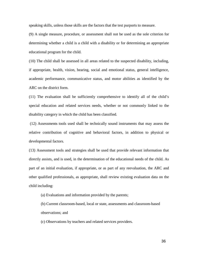speaking skills, unless those skills are the factors that the test purports to measure.

(9) A single measure, procedure, or assessment shall not be used as the sole criterion for determining whether a child is a child with a disability or for determining an appropriate educational program for the child.

(10) The child shall be assessed in all areas related to the suspected disability, including, if appropriate, health, vision, hearing, social and emotional status, general intelligence, academic performance, communicative status, and motor abilities as identified by the ARC on the district form.

(11) The evaluation shall be sufficiently comprehensive to identify all of the child's special education and related services needs, whether or not commonly linked to the disability category in which the child has been classified.

(12) Assessments tools used shall be technically sound instruments that may assess the relative contribution of cognitive and behavioral factors, in addition to physical or developmental factors.

(13) Assessment tools and strategies shall be used that provide relevant information that directly assists, and is used, in the determination of the educational needs of the child. As part of an initial evaluation, if appropriate, or as part of any reevaluation, the ARC and other qualified professionals, as appropriate, shall review existing evaluation data on the child including:

(a) Evaluations and information provided by the parents;

(b) Current classroom-based, local or state, assessments and classroom-based observations; and

(c) Observations by teachers and related services providers.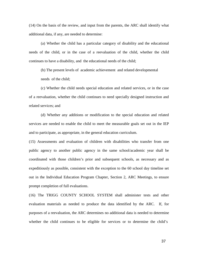(14) On the basis of the review, and input from the parents, the ARC shall identify what additional data, if any, are needed to determine:

(a) Whether the child has a particular category of disability and the educational needs of the child, or in the case of a reevaluation of the child, whether the child continues to have a disability, and the educational needs of the child;

(b) The present levels of academic achievement and related developmental needs of the child;

(c) Whether the child needs special education and related services, or in the case of a reevaluation, whether the child continues to need specially designed instruction and related services; and

(d) Whether any additions or modification to the special education and related services are needed to enable the child to meet the measurable goals set out in the IEP and to participate, as appropriate, in the general education curriculum.

(15) Assessments and evaluation of children with disabilities who transfer from one public agency to another public agency in the same school/academic year shall be coordinated with those children's prior and subsequent schools, as necessary and as expeditiously as possible, consistent with the exception to the 60 school day timeline set out in the Individual Education Program Chapter, Section 2, ARC Meetings, to ensure prompt completion of full evaluations.

(16) The TRIGG COUNTY SCHOOL SYSTEM shall administer tests and other evaluation materials as needed to produce the data identified by the ARC. If, for purposes of a reevaluation, the ARC determines no additional data is needed to determine whether the child continues to be eligible for services or to determine the child's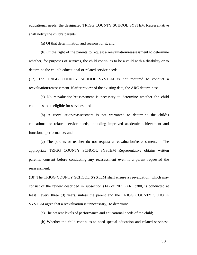educational needs, the designated TRIGG COUNTY SCHOOL SYSTEM Representative shall notify the child's parents:

(a) Of that determination and reasons for it; and

(b) Of the right of the parents to request a reevaluation/reassessment to determine whether, for purposes of services, the child continues to be a child with a disability or to determine the child's educational or related service needs.

(17) The TRIGG COUNTY SCHOOL SYSTEM is not required to conduct a reevaluation/reassessment if after review of the existing data, the ARC determines:

(a) No reevaluation/reassessment is necessary to determine whether the child continues to be eligible for services; and

(b) A reevaluation/reassessment is not warranted to determine the child's educational or related service needs, including improved academic achievement and functional performance; and

(c) The parents or teacher do not request a reevaluation/reassessment. The appropriate TRIGG COUNTY SCHOOL SYSTEM Representative obtains written parental consent before conducting any reassessment even if a parent requested the reassessment.

(18) The TRIGG COUNTY SCHOOL SYSTEM shall ensure a reevaluation, which may consist of the review described in subsection (14) of 707 KAR 1:300, is conducted at least every three (3) years, unless the parent and the TRIGG COUNTY SCHOOL SYSTEM agree that a reevaluation is unnecessary, to determine:

(a) The present levels of performance and educational needs of the child;

(b) Whether the child continues to need special education and related services;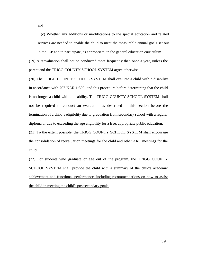and

(c) Whether any additions or modifications to the special education and related services are needed to enable the child to meet the measurable annual goals set out in the IEP and to participate, as appropriate, in the general education curriculum.

(19) A reevaluation shall not be conducted more frequently than once a year, unless the parent and the TRIGG COUNTY SCHOOL SYSTEM agree otherwise.

(20) The TRIGG COUNTY SCHOOL SYSTEM shall evaluate a child with a disability in accordance with 707 KAR 1:300 and this procedure before determining that the child is no longer a child with a disability. The TRIGG COUNTY SCHOOL SYSTEM shall not be required to conduct an evaluation as described in this section before the termination of a child's eligibility due to graduation from secondary school with a regular diploma or due to exceeding the age eligibility for a free, appropriate public education.

(21) To the extent possible, the TRIGG COUNTY SCHOOL SYSTEM shall encourage the consolidation of reevaluation meetings for the child and other ARC meetings for the child.

(22) For students who graduate or age out of the program, the TRIGG COUNTY SCHOOL SYSTEM shall provide the child with a summary of the child's academic achievement and functional performance, including recommendations on how to assist the child in meeting the child's postsecondary goals.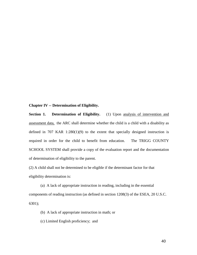#### **Chapter IV -- Determination of Eligibility.**

**Section 1. Determination of Eligibility.** (1) Upon analysis of intervention and assessment data, the ARC shall determine whether the child is a child with a disability as defined in 707 KAR 1:280(1)(9) to the extent that specially designed instruction is required in order for the child to benefit from education. The TRIGG COUNTY SCHOOL SYSTEM shall provide a copy of the evaluation report and the documentation of determination of eligibility to the parent.

(2) A child shall not be determined to be eligible if the determinant factor for that eligibility determination is:

(a) A lack of appropriate instruction in reading, including in the essential components of reading instruction (as defined in section 1208(3) of the ESEA, 20 U.S.C. 6301);

(b) A lack of appropriate instruction in math; or

(c) Limited English proficiency; and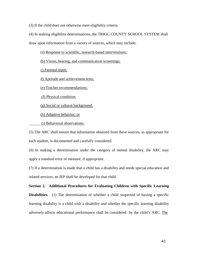(3) If the child does not otherwise meet eligibility criteria.

(4) In making eligibility determinations, the TRIGG COUNTY SCHOOL SYSTEM shall

draw upon information from a variety of sources, which may include:

- (a) Response to scientific, research-based interventions;
- (b) Vision, hearing, and communication screenings;

c) Parental input;

d) Aptitude and achievement tests;

(e) Teacher recommendations;

(f) Physical condition;

(g) Social or cultural background;

(h) Adaptive behavior; or

(i) Behavioral observations.

(5) The ARC shall ensure that information obtained from these sources, as appropriate for each student, is documented and carefully considered.

(6) In making a determination under the category of mental disability, the ARC may apply a standard error of measure, if appropriate.

(7) If a determination is made that a child has a disability and needs special education and related services, an IEP shall be developed for that child.

**Section 2. Additional Procedures for Evaluating Children with Specific Learning Disabilities.** (1) The determination of whether a child suspected of having a specific learning disability is a child with a disability and whether the specific learning disability adversely affects educational performance shall be considered by the child's ARC. The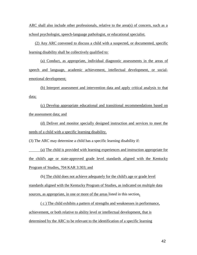ARC shall also include other professionals, relative to the area(s) of concern, such as a school psychologist, speech-language pathologist, or educational specialist.

(2) Any ARC convened to discuss a child with a suspected, or documented, specific learning disability shall be collectively qualified to:

(a) Conduct, as appropriate, individual diagnostic assessments in the areas of speech and language, academic achievement, intellectual development, or socialemotional development;

(b) Interpret assessment and intervention data and apply critical analysis to that data;

(c) Develop appropriate educational and transitional recommendations based on the assessment data; and

(d) Deliver and monitor specially designed instruction and services to meet the needs of a child with a specific learning disability.

(3) The ARC may determine a child has a specific learning disability if:

(a) The child is provided with learning experiences and instruction appropriate for the child's age or state-approved grade level standards aligned with the Kentucky Program of Studies, 704 KAR 3:303; and

(b) The child does not achieve adequately for the child's age or grade level standards aligned with the Kentucky Program of Studies, as indicated on multiple data sources, as appropriate, in one or more of the areas listed in this section**.**

( c ) The child exhibits a pattern of strengths and weaknesses in performance, achievement, or both relative to ability level or intellectual development, that is determined by the ARC to be relevant to the identification of a specific learning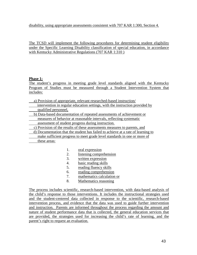disability, using appropriate assessments consistent with 707 KAR 1:300, Section 4.

The TCSD will implement the following procedures for determining student eligibility under the Specific Learning Disability classification of special education, in accordance with Kentucky Administrative Regulations (707 KAR 1:310 )

## **Phase 1:**

The student's progress in meeting grade level standards aligned with the Kentucky Program of Studies must be measured through a Student Intervention System that includes:

a) Provision of appropriate, relevant researched-based instruction/

- intervention in regular education settings, with the instruction provided by qualified personnel,
- b) Data-based documentation of repeated assessments of achievement or
- measures of behavior at reasonable intervals, reflecting systematic
- assessment of student progress during instruction.

c) Provision of the results of these assessments measures to parents, and

d) Documentation that the student has failed to achieve at a rate of learning to make sufficient progress to meet grade level standards in one or more of

these areas:

- 1. oral expression
- 2. listening comprehension
- 3. written expression
- 4. basic reading skills
- 5. reading fluency skills
- 6. reading comprehension
- 7. mathematics calculation or
- 8. Mathematics reasoning

The process includes scientific, research-based intervention, with data-based analysis of the child's response to those interventions. It includes the instructional strategies used and the student-centered data collected in response to the scientific, research-based intervention process, and evidence that the data was used to guide further intervention and instruction. Parents are informed throughout the process regarding the amount and nature of student performance data that is collected, the general education services that are provided, the strategies used for increasing the child's rate of learning, and the parent's right to request an evaluation.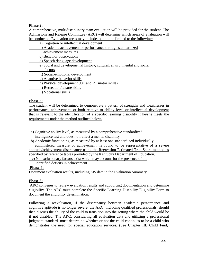# **Phase 2:**

A comprehensive, multidisciplinary team evaluation will be provided for the student. The Admissions and Release Committee (ARC) will determine which areas of evaluation will be conducted. Evaluation areas may include, but not be limited to the following:

- a) Cognition or intellectual development
- b) Academic achievement or performance through standardized
- achievement measures
- c) Behavior observations
- d) Speech /language development
- e) Social and developmental history, cultural, environmental and social
- factors
- f) Social-emotional development
- g) Adaptive behavior skills
- h) Physical development (OT and PT motor skills)
- i) Recreation/leisure skills
- j) Vocational skills

## **Phase 3:**

The student will be determined to demonstrate a pattern of strengths and weaknesses in performance, achievement, or both relative to ability level or intellectual development that is relevant to the identification of a specific learning disability if he/she meets the requirements under the method outlined below.

a) Cognitive ability level, as measured by a comprehensive standardized

intelligence test and does not reflect a mental disability

b) Academic functioning, as measured by at least one standardized individually

 administered measure of achievement, is found to be representative of a severe aptitude/achievement discrepancy using the Regression Estimated True Score method as specified by reference tables provided by the Kentucky Department of Education.

## **Phase 4:**

Document evaluation results, including SIS data in the Evaluation Summary.

## **Phase 5:**

ARC convenes to review evaluation results and supporting documentation and determine eligibility. The ARC must complete the Specific Learning Disability Eligibility Form to document the eligibility determination.

Following a reevaluation, if the discrepancy between academic performance and cognitive aptitude is no longer severe, the ARC, including qualified professionals, should then discuss the ability of the child to transition into the setting where the child would be if not disabled. The ARC, considering all evaluation data and utilizing a professional judgment standard, must determine whether or not the child continues to be a child who demonstrates the need for special education services. (See Chapter III, Child Find,

c) No exclusionary factors exist which may account for the presence of the identified deficits in achievement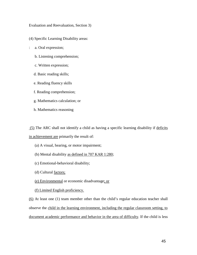Evaluation and Reevaluation, Section 3)

(4) Specific Learning Disability areas:

- : a. Oral expression;
	- b. Listening comprehension;
	- c. Written expression;
	- d. Basic reading skills;
	- e. Reading fluency skills
	- f. Reading comprehension;
	- g. Mathematics calculation; or
	- h. Mathematics reasoning

(5) The ARC shall not identify a child as having a specific learning disability if deficits

in achievement are primarily the result of:

- (a) A visual, hearing, or motor impairment;
- (b) Mental disability as defined in 707 KAR 1:280;
- (c) Emotional-behavioral disability;
- (d) Cultural factors;
- (e) Environmental or economic disadvantage; or
- (f) Limited English proficiency.

(6) At least one (1) team member other than the child's regular education teacher shall observe the child in the learning environment, including the regular classroom setting, to document academic performance and behavior in the area of difficulty. If the child is less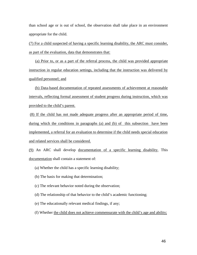than school age or is out of school, the observation shall take place in an environment appropriate for the child.

(7) For a child suspected of having a specific learning disability, the ARC must consider, as part of the evaluation, data that demonstrates that:

(a) Prior to, or as a part of the referral process, the child was provided appropriate instruction in regular education settings, including that the instruction was delivered by qualified personnel; and

(b) Data-based documentation of repeated assessments of achievement at reasonable intervals, reflecting formal assessment of student progress during instruction, which was provided to the child's parent.

(8) If the child has not made adequate progress after an appropriate period of time, during which the conditions in paragraphs (a) and (b) of this subsection have been implemented, a referral for an evaluation to determine if the child needs special education and related services shall be considered.

(9) An ARC shall develop documentation of a specific learning disability. This documentation shall contain a statement of:

- (a) Whether the child has a specific learning disability;
- (b) The basis for making that determination;
- (c) The relevant behavior noted during the observation;
- (d) The relationship of that behavior to the child's academic functioning;
- (e) The educationally relevant medical findings, if any;
- (f) Whether the child does not achieve commensurate with the child's age and ability;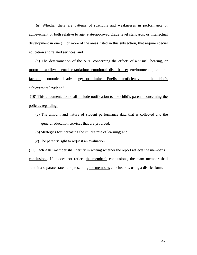(g) Whether there are patterns of strengths and weaknesses in performance or achievement or both relative to age, state-approved grade level standards, or intellectual development in one (1) or more of the areas listed in this subsection, that require special education and related services; and

(h) The determination of the ARC concerning the effects of a visual, hearing, or motor disability; mental retardation; emotional disturbance; environmental, cultural factors; economic disadvantage; or limited English proficiency on the child's achievement level; and

(10) This documentation shall include notification to the child's parents concerning the policies regarding:

(a) The amount and nature of student performance data that is collected and the general education services that are provided;

(b) Strategies for increasing the child's rate of learning; and

(c) The parents' right to request an evaluation.

(11) Each ARC member shall certify in writing whether the report reflects the member's conclusions. If it does not reflect the member's conclusions, the team member shall submit a separate statement presenting the member's conclusions, using a district form.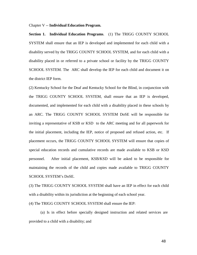#### Chapter V -- **Individual Education Program.**

**Section 1. Individual Education Programs**. (1) The TRIGG COUNTY SCHOOL SYSTEM shall ensure that an IEP is developed and implemented for each child with a disability served by the TRIGG COUNTY SCHOOL SYSTEM, and for each child with a disability placed in or referred to a private school or facility by the TRIGG COUNTY SCHOOL SYSTEM. The ARC shall develop the IEP for each child and document it on the district IEP form.

(2) Kentucky School for the Deaf and Kentucky School for the Blind, in conjunction with the TRIGG COUNTY SCHOOL SYSTEM, shall ensure that an IEP is developed, documented, and implemented for each child with a disability placed in these schools by an ARC. The TRIGG COUNTY SCHOOL SYSTEM DoSE will be responsible for inviting a representative of KSB or KSD to the ARC meeting and for all paperwork for the initial placement, including the IEP, notice of proposed and refused action, etc. If placement occurs, the TRIGG COUNTY SCHOOL SYSTEM will ensure that copies of special education records and cumulative records are made available to KSB or KSD personnel. After initial placement, KSB/KSD will be asked to be responsible for maintaining the records of the child and copies made available to TRIGG COUNTY SCHOOL SYSTEM's DoSE.

(3) The TRIGG COUNTY SCHOOL SYSTEM shall have an IEP in effect for each child with a disability within its jurisdiction at the beginning of each school year.

(4) The TRIGG COUNTY SCHOOL SYSTEM shall ensure the IEP:

(a) Is in effect before specially designed instruction and related services are provided to a child with a disability; and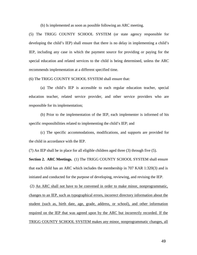(b) Is implemented as soon as possible following an ARC meeting.

(5) The TRIGG COUNTY SCHOOL SYSTEM (or state agency responsible for developing the child's IEP) shall ensure that there is no delay in implementing a child's IEP, including any case in which the payment source for providing or paying for the special education and related services to the child is being determined, unless the ARC recommends implementation at a different specified time.

(6) The TRIGG COUNTY SCHOOL SYSTEM shall ensure that:

(a) The child's IEP is accessible to each regular education teacher, special education teacher, related service provider, and other service providers who are responsible for its implementation;

(b) Prior to the implementation of the IEP, each implementer is informed of his specific responsibilities related to implementing the child's IEP; and

(c) The specific accommodations, modifications, and supports are provided for the child in accordance with the IEP.

(7) An IEP shall be in place for all eligible children aged three (3) through five (5).

**Section 2. ARC Meetings.** (1) The TRIGG COUNTY SCHOOL SYSTEM shall ensure that each child has an ARC which includes the membership in 707 KAR 1:320(3) and is initiated and conducted for the purpose of developing, reviewing, and revising the IEP.

(2) An ARC shall not have to be convened in order to make minor, nonprogrammatic, changes to an IEP, such as typographical errors, incorrect directory information about the student (such as, birth date, age, grade, address, or school), and other information required on the IEP that was agreed upon by the ARC but incorrectly recorded. If the TRIGG COUNTY SCHOOL SYSTEM makes any minor, nonprogrammatic changes, all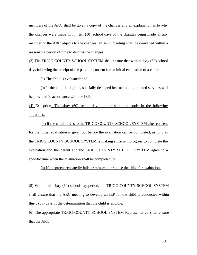members of the ARC shall be given a copy of the changes and an explanation as to why the changes were made within ten (10) school days of the changes being made. If any member of the ARC objects to the changes, an ARC meeting shall be convened within a reasonable period of time to discuss the changes.

(3) The TRIGG COUNTY SCHOOL SYSTEM shall ensure that within sixty (60) school days following the receipt of the parental consent for an initial evaluation of a child:

(a) The child is evaluated; and

(b) If the child is eligible, specially designed instruction and related services will be provided in accordance with the IEP.

(4) Exception -The sixty (60) school**-**day timeline shall not apply in the following situations:

(a) If the child moves to the TRIGG COUNTY SCHOOL SYSTEM after consent for the initial evaluation is given but before the evaluation can be completed, as long as the TRIGG COUNTY SCHOOL SYSTEM is making sufficient progress to complete the evaluation and the parent and the TRIGG COUNTY SCHOOL SYSTEM agree to a specific time when the evaluation shall be completed; or

(b) If the parent repeatedly fails or refuses to produce the child for evaluation.

(5) Within this sixty (60) school-day period, the TRIGG COUNTY SCHOOL SYSTEM shall ensure that the ARC meeting to develop an IEP for the child is conducted within thirty (30) days of the determination that the child is eligible.

(6) The appropriate TRIGG COUNTY SCHOOL SYSTEM Representative shall ensure that the ARC: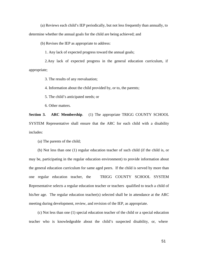(a) Reviews each child's IEP periodically, but not less frequently than annually, to

determine whether the annual goals for the child are being achieved; and

(b) Revises the IEP as appropriate to address:

1. Any lack of expected progress toward the annual goals;

2.Any lack of expected progress in the general education curriculum, if appropriate;

3. The results of any reevaluation;

4. Information about the child provided by, or to, the parents;

5. The child's anticipated needs; or

6. Other matters.

**Section 3. ARC Membership**. (1) The appropriate TRIGG COUNTY SCHOOL SYSTEM Representative shall ensure that the ARC for each child with a disability includes:

(a) The parents of the child;

(b) Not less than one (1) regular education teacher of such child (if the child is, or may be, participating in the regular education environment) to provide information about the general education curriculum for same aged peers. If the child is served by more than one regular education teacher, the TRIGG COUNTY SCHOOL SYSTEM Representative selects a regular education teacher or teachers qualified to teach a child of his/her age. The regular education teacher(s) selected shall be in attendance at the ARC meeting during development, review, and revision of the IEP, as appropriate.

(c) Not less than one (1) special education teacher of the child or a special education teacher who is knowledgeable about the child's suspected disability, or, where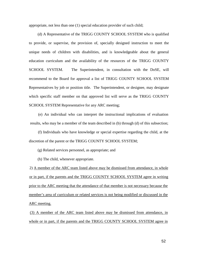appropriate, not less than one (1) special education provider of such child;

(d) A Representative of the TRIGG COUNTY SCHOOL SYSTEM who is qualified to provide, or supervise, the provision of, specially designed instruction to meet the unique needs of children with disabilities, and is knowledgeable about the general education curriculum and the availability of the resources of the TRIGG COUNTY SCHOOL SYSTEM. The Superintendent, in consultation with the DoSE, will recommend to the Board for approval a list of TRIGG COUNTY SCHOOL SYSTEM Representatives by job or position title. The Superintendent, or designee, may designate which specific staff member on that approved list will serve as the TRIGG COUNTY SCHOOL SYSTEM Representative for any ARC meeting;

(e) An individual who can interpret the instructional implications of evaluation results, who may be a member of the team described in (b) through (d) of this subsection;

(f) Individuals who have knowledge or special expertise regarding the child, at the discretion of the parent or the TRIGG COUNTY SCHOOL SYSTEM;

(g) Related services personnel, as appropriate; and

(h) The child, whenever appropriate.

2) A member of the ARC team listed above may be dismissed from attendance, in whole or in part, if the parents and the TRIGG COUNTY SCHOOL SYSTEM agree in writing prior to the ARC meeting that the attendance of that member is not necessary because the member's area of curriculum or related services is not being modified or discussed in the ARC meeting.

(3) A member of the ARC team listed above may be dismissed from attendance, in whole or in part, if the parents and the TRIGG COUNTY SCHOOL SYSTEM agree in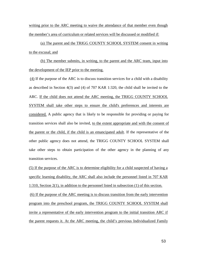writing prior to the ARC meeting to waive the attendance of that member even though the member's area of curriculum or related services will be discussed or modified if:

(a) The parent and the TRIGG COUNTY SCHOOL SYSTEM consent in writing to the excusal; and

(b) The member submits, in writing, to the parent and the ARC team, input into the development of the IEP prior to the meeting.

(4) If the purpose of the ARC is to discuss transition services for a child with a disability as described in Section 4(3) and (4) of 707 KAR 1:320, the child shall be invited to the ARC. If the child does not attend the ARC meeting, the TRIGG COUNTY SCHOOL SYSTEM shall take other steps to ensure the child's preferences and interests are considered. A public agency that is likely to be responsible for providing or paying for transition services shall also be invited, to the extent appropriate and with the consent of the parent or the child, if the child is an emancipated adult. If the representative of the other public agency does not attend, the TRIGG COUNTY SCHOOL SYSTEM shall take other steps to obtain participation of the other agency in the planning of any transition services.

(5) If the purpose of the ARC is to determine eligibility for a child suspected of having a specific learning disability, the ARC shall also include the personnel listed in 707 KAR 1:310, Section 2(1), in addition to the personnel listed in subsection (1) of this section. (6) If the purpose of the ARC meeting is to discuss transition from the early intervention program into the preschool program, the TRIGG COUNTY SCHOOL SYSTEM shall invite a representative of the early intervention program to the initial transition ARC if the parent requests it. At the ARC meeting, the child's previous Individualized Family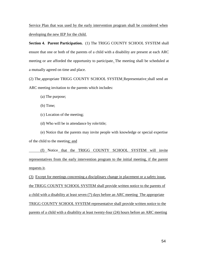Service Plan that was used by the early intervention program shall be considered when developing the new IEP for the child.

**Section 4. Parent Participation.** (1) The TRIGG COUNTY SCHOOL SYSTEM shall ensure that one or both of the parents of a child with a disability are present at each ARC meeting or are afforded the opportunity to participate. The meeting shall be scheduled at a mutually agreed on time and place.

(2) The appropriate TRIGG COUNTY SCHOOL SYSTEM Representative shall send an ARC meeting invitation to the parents which includes:

- (a) The purpose;
- (b) Time;
- (c) Location of the meeting;
- (d) Who will be in attendance by role/title;

(e) Notice that the parents may invite people with knowledge or special expertise of the child to the meeting; and

 (f) Notice that the TRIGG COUNTY SCHOOL SYSTEM will invite representatives from the early intervention program to the initial meeting, if the parent requests it.

(3) Except for meetings concerning a disciplinary change in placement or a safety issue, the TRIGG COUNTY SCHOOL SYSTEM shall provide written notice to the parents of a child with a disability at least seven (7) days before an ARC meeting The appropriate TRIGG COUNTY SCHOOL SYSTEM representative shall provide written notice to the parents of a child with a disability at least twenty-four (24) hours before an ARC meeting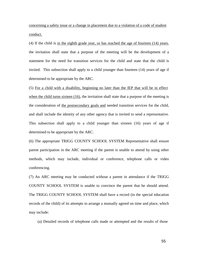concerning a safety issue or a change in placement due to a violation of a code of student conduct.

(4) If the child is in the eighth grade year, or has reached the age of fourteen (14) years, the invitation shall state that a purpose of the meeting will be the development of a statement for the need for transition services for the child and state that the child is invited. This subsection shall apply to a child younger than fourteen (14) years of age if determined to be appropriate by the ARC.

(5) For a child with a disability, beginning no later than the IEP that will be in effect when the child turns sixteen (16), the invitation shall state that a purpose of the meeting is the consideration of the postsecondary goals and needed transition services for the child, and shall include the identity of any other agency that is invited to send a representative. This subsection shall apply to a child younger than sixteen (16) years of age if determined to be appropriate by the ARC.

(6) The appropriate TRIGG COUNTY SCHOOL SYSTEM Representative shall ensure parent participation in the ARC meeting if the parent is unable to attend by using other methods, which may include, individual or conference, telephone calls or video conferencing.

(7) An ARC meeting may be conducted without a parent in attendance if the TRIGG COUNTY SCHOOL SYSTEM is unable to convince the parent that he should attend. The TRIGG COUNTY SCHOOL SYSTEM shall have a record (in the special education records of the child) of its attempts to arrange a mutually agreed on time and place, which may include:

(a) Detailed records of telephone calls made or attempted and the results of those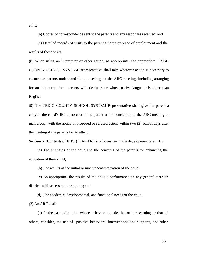calls;

(b) Copies of correspondence sent to the parents and any responses received; and

(c) Detailed records of visits to the parent's home or place of employment and the results of those visits.

(8) When using an interpreter or other action, as appropriate, the appropriate TRIGG COUNTY SCHOOL SYSTEM Representative shall take whatever action is necessary to ensure the parents understand the proceedings at the ARC meeting, including arranging for an interpreter for parents with deafness or whose native language is other than English.

(9) The TRIGG COUNTY SCHOOL SYSTEM Representative shall give the parent a copy of the child's IEP at no cost to the parent at the conclusion of the ARC meeting or mail a copy with the notice of proposed or refused action within two (2) school days after the meeting if the parents fail to attend.

**Section 5. Contents of IEP.** (1) An ARC shall consider in the development of an IEP:

(a) The strengths of the child and the concerns of the parents for enhancing the education of their child;

(b) The results of the initial or most recent evaluation of the child;

(c) As appropriate, the results of the child's performance on any general state or district- wide assessment programs; and

(d) The academic, developmental, and functional needs of the child.

(2) An ARC shall:

(a) In the case of a child whose behavior impedes his or her learning or that of others, consider, the use of positive behavioral interventions and supports, and other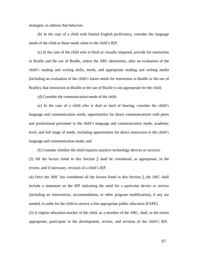strategies, to address that behavior;

(b) In the case of a child with limited English proficiency, consider the language needs of the child as those needs relate to the child's IEP;

(c) In the case of the child who is blind or visually impaired, provide for instruction in Braille and the use of Braille, unless the ARC determines, after an evaluation of the child's reading and writing skills, needs, and appropriate reading and writing media (including an evaluation of the child's future needs for instruction in Braille or the use of Braille), that instruction in Braille or the use of Braille is not appropriate for the child;

(d) Consider the communication needs of the child;

(e) In the case of a child who is deaf or hard of hearing, consider the child's language and communication needs, opportunities for direct communications with peers and professional personnel in the child's language and communication mode, academic level, and full range of needs, including opportunities for direct instruction in the child's language and communication mode; and

(f) Consider whether the child requires assistive technology devices or services.

(3) All the factors listed in this Section  $\frac{5}{9}$  shall be considered, as appropriate, in the review, and if necessary, revision of a child's IEP.

(4) Once the ARC has considered all the factors listed in this Section 5 the ARC shall include a statement on the IEP indicating the need for a particular device or service (including an intervention, accommodation, or other program modification), if any are needed, in order for the child to receive a free appropriate public education (FAPE).

(5) A regular education teacher of the child, as a member of the ARC, shall, to the extent appropriate, participate in the development, review, and revision of the child's IEP,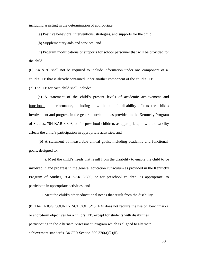including assisting in the determination of appropriate:

(a) Positive behavioral interventions, strategies, and supports for the child;

(b) Supplementary aids and services; and

(c) Program modifications or supports for school personnel that will be provided for the child.

(6) An ARC shall not be required to include information under one component of a child's IEP that is already contained under another component of the child's IEP.

(7) The IEP for each child shall include:

(a) A statement of the child's present levels of academic achievement and functional performance, including how the child's disability affects the child's involvement and progress in the general curriculum as provided in the Kentucky Program of Studies, 704 KAR 3:303, or for preschool children, as appropriate, how the disability affects the child's participation in appropriate activities; and

(b) A statement of measurable annual goals, including academic and functional goals, designed to:

i. Meet the child's needs that result from the disability to enable the child to be involved in and progress in the general education curriculum as provided in the Kentucky Program of Studies, 704 KAR 3:303, or for preschool children, as appropriate, to participate in appropriate activities, and

ii. Meet the child's other educational needs that result from the disability.

(8) The TRIGG COUNTY SCHOOL SYSTEM does not require the use of benchmarks or short-term objectives for a child's IEP, except for students with disabilities participating in the Alternate Assessment Program which is aligned to alternate achievement standards. 34 CFR Section 300.320(a)(2)(ii).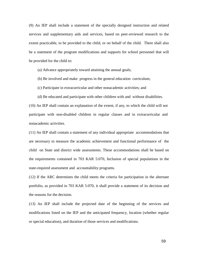(9) An IEP shall include a statement of the specially designed instruction and related services and supplementary aids and services, based on peer-reviewed research to the extent practicable, to be provided to the child, or on behalf of the child. There shall also be a statement of the program modifications and supports for school personnel that will be provided for the child to:

(a) Advance appropriately toward attaining the annual goals;

(b) Be involved and make progress in the general education curriculum;

(c) Participate in extracurricular and other nonacademic activities; and

(d) Be educated and participate with other children with and without disabilities.

(10) An IEP shall contain an explanation of the extent, if any, to which the child will not participate with non-disabled children in regular classes and in extracurricular and nonacademic activities.

(11) An IEP shall contain a statement of any individual appropriate accommodations that are necessary to measure the academic achievement and functional performance of the child on State and district wide assessments. These accommodations shall be based on the requirements contained in 703 KAR 5:070, Inclusion of special populations in the state-required assessment and accountability programs.

(12) If the ARC determines the child meets the criteria for participation in the alternate portfolio, as provided in 703 KAR 5:070, it shall provide a statement of its decision and the reasons for the decision.

(13) An IEP shall include the projected date of the beginning of the services and modifications listed on the IEP and the anticipated frequency, location (whether regular or special education), and duration of those services and modifications.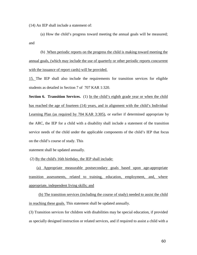(14) An IEP shall include a statement of:

(a) How the child's progress toward meeting the annual goals will be measured; and

(b) When periodic reports on the progress the child is making toward meeting the annual goals, (which may include the use of quarterly or other periodic reports concurrent with the issuance of report cards) will be provided.

15. The IEP shall also include the requirements for transition services for eligible students as detailed in Section 7 of 707 KAR 1:320.

**Section 6. Transition Services.** (1) In the child's eighth grade year or when the child has reached the age of fourteen (14) years, and in alignment with the child's Individual Learning Plan (as required by 704 KAR 3:305), or earlier if determined appropriate by the ARC, the IEP for a child with a disability shall include a statement of the transition service needs of the child under the applicable components of the child's IEP that focus on the child's course of study. This

statement shall be updated annually.

(2) By the child's 16th birthday, the IEP shall include:

(a) Appropriate measurable postsecondary goals based upon age-appropriate transition assessments, related to training, education, employment, and, where appropriate, independent living skills; and

(b) The transition services (including the course of study) needed to assist the child in reaching these goals. This statement shall be updated annually.

(3) Transition services for children with disabilities may be special education, if provided as specially designed instruction or related services, and if required to assist a child with a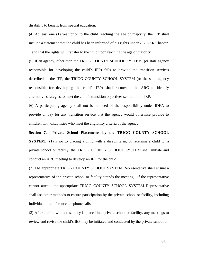disability to benefit from special education.

(4) At least one (1) year prior to the child reaching the age of majority, the IEP shall include a statement that the child has been informed of his rights under 707 KAR Chapter 1 and that the rights will transfer to the child upon reaching the age of majority.

(5) If an agency, other than the TRIGG COUNTY SCHOOL SYSTEM, (or state agency responsible for developing the child's IEP) fails to provide the transition services described in the IEP, the TRIGG COUNTY SCHOOL SYSTEM (or the state agency responsible for developing the child's IEP) shall reconvene the ARC to identify alternative strategies to meet the child's transition objectives set out in the IEP.

(6) A participating agency shall not be relieved of the responsibility under IDEA to provide or pay for any transition service that the agency would otherwise provide to children with disabilities who meet the eligibility criteria of the agency.

**Section 7. Private School Placements by the TRIGG COUNTY SCHOOL SYSTEM.** (1) Prior to placing a child with a disability in, or referring a child to, a private school or facility, the TRIGG COUNTY SCHOOL SYSTEM shall initiate and conduct an ARC meeting to develop an IEP for the child.

(2) The appropriate TRIGG COUNTY SCHOOL SYSTEM Representative shall ensure a representative of the private school or facility attends the meeting. If the representative cannot attend, the appropriate TRIGG COUNTY SCHOOL SYSTEM Representative shall use other methods to ensure participation by the private school or facility, including individual or conference telephone calls.

(3) After a child with a disability is placed in a private school or facility, any meetings to review and revise the child's IEP may be initiated and conducted by the private school or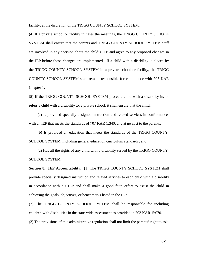facility, at the discretion of the TRIGG COUNTY SCHOOL SYSTEM.

(4) If a private school or facility initiates the meetings, the TRIGG COUNTY SCHOOL SYSTEM shall ensure that the parents and TRIGG COUNTY SCHOOL SYSTEM staff are involved in any decision about the child's IEP and agree to any proposed changes in the IEP before those changes are implemented. If a child with a disability is placed by the TRIGG COUNTY SCHOOL SYSTEM in a private school or facility, the TRIGG COUNTY SCHOOL SYSTEM shall remain responsible for compliance with 707 KAR Chapter 1.

(5) If the TRIGG COUNTY SCHOOL SYSTEM places a child with a disability in, or refers a child with a disability to, a private school, it shall ensure that the child:

(a) Is provided specially designed instruction and related services in conformance with an IEP that meets the standards of 707 KAR 1:340, and at no cost to the parents;

(b) Is provided an education that meets the standards of the TRIGG COUNTY SCHOOL SYSTEM, including general education curriculum standards; and

(c) Has all the rights of any child with a disability served by the TRIGG COUNTY SCHOOL SYSTEM.

**Section 8. IEP Accountability**. (1) The TRIGG COUNTY SCHOOL SYSTEM shall provide specially designed instruction and related services to each child with a disability in accordance with his IEP and shall make a good faith effort to assist the child in achieving the goals, objectives, or benchmarks listed in the IEP.

(2) The TRIGG COUNTY SCHOOL SYSTEM shall be responsible for including children with disabilities in the state-wide assessment as provided in 703 KAR 5:070.

(3) The provisions of this administrative regulation shall not limit the parents' right to ask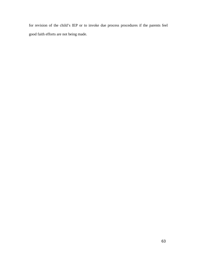for revision of the child's IEP or to invoke due process procedures if the parents feel good faith efforts are not being made.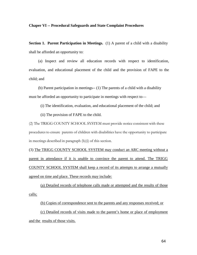#### **Chaper VI -- Procedural Safeguards and State Complaint Procedures**

**Section 1. Parent Participation in Meetings.** (1) A parent of a child with a disability shall be afforded an opportunity to:

(a) Inspect and review all education records with respect to identification, evaluation, and educational placement of the child and the provision of FAPE to the child; and

(b) Parent participation in meetings-- (1) The parents of a child with a disability must be afforded an opportunity to participate in meetings with respect to—

(i) The identification, evaluation, and educational placement of the child; and

(ii) The provision of FAPE to the child.

(2) The TRIGG COUNTY SCHOOL SYSTEM must provide notice consistent with these procedures to ensure parents of children with disabilities have the opportunity to participate in meetings described in paragraph (b)(i) of this section.

(3) The TRIGG COUNTY SCHOOL SYSTEM may conduct an ARC meeting without a parent in attendance if it is unable to convince the parent to attend. The TRIGG COUNTY SCHOOL SYSTEM shall keep a record of its attempts to arrange a mutually agreed on time and place. These records may include:

(a) Detailed records of telephone calls made or attempted and the results of those calls;

(b) Copies of correspondence sent to the parents and any responses received; or

(c) Detailed records of visits made to the parent's home or place of employment and the results of those visits.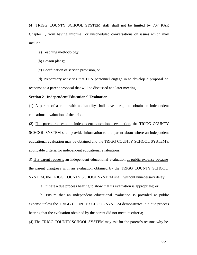(4) TRIGG COUNTY SCHOOL SYSTEM staff shall not be limited by 707 KAR Chapter 1, from having informal, or unscheduled conversations on issues which may include:

(a) Teaching methodology ;

(b) Lesson plans;;

(c) Coordination of service provision, or

(d) Preparatory activities that LEA personnel engage in to develop a proposal or response to a parent proposal that will be discussed at a later meeting.

#### **Section 2**. **Independent Educational Evaluation.**

(1) A parent of a child with a disability shall have a right to obtain an independent educational evaluation of the child.

**(2)** If a parent requests an independent educational evaluation, the TRIGG COUNTY SCHOOL SYSTEM shall provide information to the parent about where an independent educational evaluation may be obtained and the TRIGG COUNTY SCHOOL SYSTEM's applicable criteria for independent educational evaluations.

3) If a parent requests an independent educational evaluation at public expense because the parent disagrees with an evaluation obtained by the TRIGG COUNTY SCHOOL SYSTEM, the TRIGG COUNTY SCHOOL SYSTEM shall, without unnecessary delay:

a. Initiate a due process hearing to show that its evaluation is appropriate; or

b. Ensure that an independent educational evaluation is provided at public expense unless the TRIGG COUNTY SCHOOL SYSTEM demonstrates in a due process hearing that the evaluation obtained by the parent did not meet its criteria;

(4) The TRIGG COUNTY SCHOOL SYSTEM may ask for the parent's reasons why he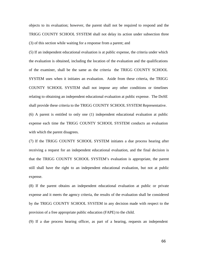objects to its evaluation; however, the parent shall not be required to respond and the TRIGG COUNTY SCHOOL SYSTEM shall not delay its action under subsection three (3) of this section while waiting for a response from a parent; and

(5) If an independent educational evaluation is at public expense, the criteria under which the evaluation is obtained, including the location of the evaluation and the qualifications of the examiner, shall be the same as the criteria the TRIGG COUNTY SCHOOL SYSTEM uses when it initiates an evaluation. Aside from these criteria, the TRIGG COUNTY SCHOOL SYSTEM shall not impose any other conditions or timelines relating to obtaining an independent educational evaluation at public expense. The DoSE shall provide these criteria to the TRIGG COUNTY SCHOOL SYSTEM Representative. (6) A parent is entitled to only one (1) independent educational evaluation at public expense each time the TRIGG COUNTY SCHOOL SYSTEM conducts an evaluation with which the parent disagrees.

(7) If the TRIGG COUNTY SCHOOL SYSTEM initiates a due process hearing after receiving a request for an independent educational evaluation, and the final decision is that the TRIGG COUNTY SCHOOL SYSTEM's evaluation is appropriate, the parent still shall have the right to an independent educational evaluation, but not at public expense.

(8) If the parent obtains an independent educational evaluation at public or private expense and it meets the agency criteria, the results of the evaluation shall be considered by the TRIGG COUNTY SCHOOL SYSTEM in any decision made with respect to the provision of a free appropriate public education (FAPE) to the child.

(9) If a due process hearing officer, as part of a hearing, requests an independent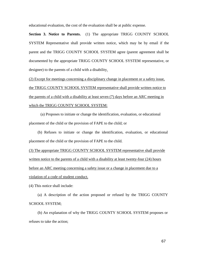educational evaluation, the cost of the evaluation shall be at public expense.

**Section 3. Notice to Parents.** (1) The appropriate TRIGG COUNTY SCHOOL SYSTEM Representative shall provide written notice, which may be by email if the parent and the TRIGG COUNTY SCHOOL SYSTEM agree (parent agreement shall be documented by the appropriate TRIGG COUNTY SCHOOL SYSTEM representative, or designee) to the parents of a child with a disability.

(2) Except for meetings concerning a disciplinary change in placement or a safety issue, the TRIGG COUNTY SCHOOL SYSTEM representative shall provide written notice to the parents of a child with a disability at least seven (7) days before an ARC meeting in which the TRIGG COUNTY SCHOOL SYSTEM:

(a) Proposes to initiate or change the identification, evaluation, or educational placement of the child or the provision of FAPE to the child; or

(b) Refuses to initiate or change the identification, evaluation, or educational placement of the child or the provision of FAPE to the child.

(3) The appropriate TRIGG COUNTY SCHOOL SYSTEM representative shall provide written notice to the parents of a child with a disability at least twenty-four (24) hours before an ARC meeting concerning a safety issue or a change in placement due to a violation of a code of student conduct.

(4) This notice shall include:

(a) A description of the action proposed or refused by the TRIGG COUNTY SCHOOL SYSTEM;

(b) An explanation of why the TRIGG COUNTY SCHOOL SYSTEM proposes or refuses to take the action;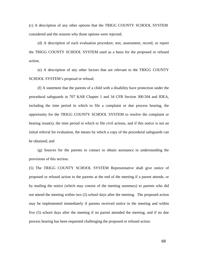(c) A description of any other options that the TRIGG COUNTY SCHOOL SYSTEM considered and the reasons why those options were rejected;

(d) A description of each evaluation procedure, test, assessment, record, or report the TRIGG COUNTY SCHOOL SYSTEM used as a basis for the proposed or refused action;

(e) A description of any other factors that are relevant to the TRIGG COUNTY SCHOOL SYSTEM's proposal or refusal;

(f) A statement that the parents of a child with a disability have protection under the procedural safeguards in 707 KAR Chapter 1 and 34 CFR Section 300.504 and IDEA, including the time period in which to file a complaint or due process hearing, the opportunity for the TRIGG COUNTY SCHOOL SYSTEM to resolve the complaint or hearing issue(s), the time period in which to file civil actions, and if this notice is not an initial referral for evaluation, the means by which a copy of the procedural safeguards can be obtained; and

(g) Sources for the parents to contact to obtain assistance in understanding the provisions of this section.

(5) The TRIGG COUNTY SCHOOL SYSTEM Representative shall give notice of proposed or refused action to the parents at the end of the meeting if a parent attends, or by mailing the notice (which may consist of the meeting summary) to parents who did not attend the meeting within two (2) school days after the meeting. The proposed action may be implemented immediately if parents received notice in the meeting and within five (5) school days after the meeting if no parent attended the meeting, and if no due process hearing has been requested challenging the proposed or refused action.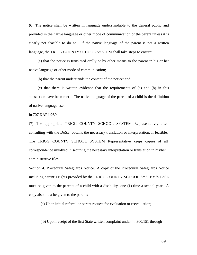(6) The notice shall be written in language understandable to the general public and provided in the native language or other mode of communication of the parent unless it is clearly not feasible to do so. If the native language of the parent is not a written language, the TRIGG COUNTY SCHOOL SYSTEM shall take steps to ensure:

(a) that the notice is translated orally or by other means to the parent in his or her native language or other mode of communication;

(b) that the parent understands the content of the notice: and

(c) that there is written evidence that the requirements of (a) and (b) in this subsection have been met . The native language of the parent of a child is the definition of native language used

in 707 KAR1:280.

(7) The appropriate TRIGG COUNTY SCHOOL SYSTEM Representative, after consulting with the DoSE, obtains the necessary translation or interpretation, if feasible. The TRIGG COUNTY SCHOOL SYSTEM Representative keeps copies of all correspondence involved in securing the necessary interpretation or translation in his/her administrative files.

Section 4. Procedural Safeguards Notice. A copy of the Procedural Safeguards Notice including parent's rights provided by the TRIGG COUNTY SCHOOL SYSTEM's DoSE must be given to the parents of a child with a disability one (1) time a school year. A copy also must be given to the parents—

(a) Upon initial referral or parent request for evaluation or reevaluation;

( b) Upon receipt of the first State written complaint under §§ 300.151 through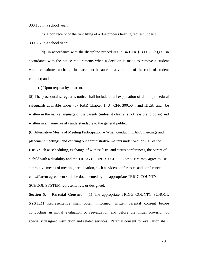300.153 in a school year;

(c) Upon receipt of the first filing of a due process hearing request under § 300.507 in a school year;

(d) In accordance with the discipline procedures in 34 CFR § 300.530(h),i.e., in accordance with the notice requirements when a decision is made to remove a student which constitutes a change in placement because of a violation of the code of student conduct; and

(e) Upon request by a parent.

(5) The procedural safeguards notice shall include a full explanation of all the procedural safeguards available under 707 KAR Chapter 1; 34 CFR 300.504; and IDEA, and be written in the native language of the parents (unless it clearly is not feasible to do so) and written in a manner easily understandable to the general public.

(6) Alternative Means of Meeting Participation -- When conducting ARC meetings and placement meetings, and carrying out administrative matters under Section 615 of the IDEA such as scheduling, exchange of witness lists, and status conferences, the parent of a child with a disability and the TRIGG COUNTY SCHOOL SYSTEM may agree to use alternative means of meeting participation, such as video conferences and conference calls.(Parent agreement shall be documented by the appropriate TRIGG COUNTY SCHOOL SYSTEM representative, or designee).

**Section 5. Parental Consent.** . (1) The appropriate TRIGG COUNTY SCHOOL SYSTEM Representative shall obtain informed, written parental consent before conducting an initial evaluation or reevaluation and before the initial provision of specially designed instruction and related services. Parental consent for evaluation shall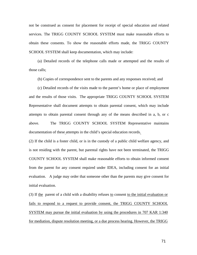not be construed as consent for placement for receipt of special education and related services. The TRIGG COUNTY SCHOOL SYSTEM must make reasonable efforts to obtain these consents. To show the reasonable efforts made, the TRIGG COUNTY SCHOOL SYSTEM shall keep documentation, which may include:

(a) Detailed records of the telephone calls made or attempted and the results of those calls;

(b) Copies of correspondence sent to the parents and any responses received; and

(c) Detailed records of the visits made to the parent's home or place of employment and the results of those visits. The appropriate TRIGG COUNTY SCHOOL SYSTEM Representative shall document attempts to obtain parental consent, which may include attempts to obtain parental consent through any of the means described in a, b, or c above. The TRIGG COUNTY SCHOOL SYSTEM Representative maintains documentation of these attempts in the child's special education records.

(2) If the child is a foster child, or is in the custody of a public child welfare agency, and is not residing with the parent, but parental rights have not been terminated, the TRIGG COUNTY SCHOOL SYSTEM shall make reasonable efforts to obtain informed consent from the parent for any consent required under IDEA, including consent for an initial evaluation. A judge may order that someone other than the parents may give consent for initial evaluation.

(3) If the parent of a child with a disability refuses to consent to the initial evaluation or fails to respond to a request to provide consent, the TRIGG COUNTY SCHOOL SYSTEM may pursue the initial evaluation by using the procedures in 707 KAR 1:340 for mediation, dispute resolution meeting, or a due process hearing. However, the TRIGG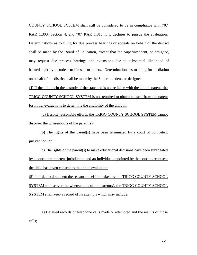COUNTY SCHOOL SYSTEM shall still be considered to be in compliance with 707 KAR 1:300, Section 4, and 707 KAR 1:310 if it declines to pursue the evaluation. Determinations as to filing for due process hearings or appeals on behalf of the district shall be made by the Board of Education, except that the Superintendent, or designee, may request due process hearings and extensions due to substantial likelihood of harm/danger by a student to himself or others. Determinations as to filing for mediation on behalf of the district shall be made by the Superintendent, or designee.

(4) If the child is in the custody of the state and is not residing with the child's parent, the TRIGG COUNTY SCHOOL SYSTEM is not required to obtain consent from the parent for initial evaluations to determine the eligibility of the child if:

(a) Despite reasonable efforts, the TRIGG COUNTY SCHOOL SYSTEM cannot discover the whereabouts of the parent(s);

(b) The rights of the parent(s) have been terminated by a court of competent jurisdiction; or

(c) The rights of the parent(s) to make educational decisions have been subrogated by a court of competent jurisdiction and an individual appointed by the court to represent the child has given consent to the initial evaluation.

(5) In order to document the reasonable efforts taken by the TRIGG COUNTY SCHOOL SYSTEM to discover the whereabouts of the parent(s), the TRIGG COUNTY SCHOOL SYSTEM shall keep a record of its attempts which may include:

(a) Detailed records of telephone calls made or attempted and the results of those calls;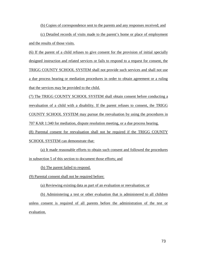(b) Copies of correspondence sent to the parents and any responses received; and

(c) Detailed records of visits made to the parent's home or place of employment and the results of those visits.

(6) If the parent of a child refuses to give consent for the provision of initial specially designed instruction and related services or fails to respond to a request for consent, the TRIGG COUNTY SCHOOL SYSTEM shall not provide such services and shall not use a due process hearing or mediation procedures in order to obtain agreement or a ruling that the services may be provided to the child.

(7) The TRIGG COUNTY SCHOOL SYSTEM shall obtain consent before conducting a reevaluation of a child with a disability. If the parent refuses to consent, the TRIGG COUNTY SCHOOL SYSTEM may pursue the reevaluation by using the procedures in 707 KAR 1:340 for mediation, dispute resolution meeting, or a due process hearing.

(8) Parental consent for reevaluation shall not be required if the TRIGG COUNTY SCHOOL SYSTEM can demonstrate that:

(a) It made reasonable efforts to obtain such consent and followed the procedures in subsection 5 of this section to document those efforts; and

(b) The parent failed to respond.

(9) Parental consent shall not be required before:

(a) Reviewing existing data as part of an evaluation or reevaluation; or

(b) Administering a test or other evaluation that is administered to all children unless consent is required of all parents before the administration of the test or evaluation.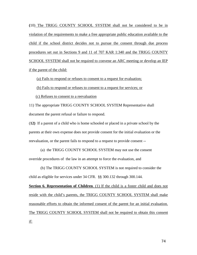**(**10) The TRIGG COUNTY SCHOOL SYSTEM shall not be considered to be in violation of the requirements to make a free appropriate public education available to the child if the school district decides not to pursue the consent through due process procedures set out in Sections 9 and 11 of 707 KAR 1:340 and the TRIGG COUNTY SCHOOL SYSTEM shall not be required to convene an ARC meeting or develop an IEP if the parent of the child:

(a) Fails to respond or refuses to consent to a request for evaluation;

(b) Fails to respond or refuses to consent to a request for services; or

(c) Refuses to consent to a reevaluation

11) The appropriate TRIGG COUNTY SCHOOL SYSTEM Representative shall document the parent refusal or failure to respond.

(**12)** If a parent of a child who is home schooled or placed in a private school by the parents at their own expense does not provide consent for the initial evaluation or the reevaluation, or the parent fails to respond to a request to provide consent --

(a) the TRIGG COUNTY SCHOOL SYSTEM may not use the consent override procedures of the law in an attempt to force the evaluation, and

(b) The TRIGG COUNTY SCHOOL SYSTEM is not required to consider the child as eligible for services under 34 CFR. §§ 300.132 through 300.144.

**Section 6. Representation of Children**. (1) If the child is a foster child and does not reside with the child's parents, the TRIGG COUNTY SCHOOL SYSTEM shall make reasonable efforts to obtain the informed consent of the parent for an initial evaluation. The TRIGG COUNTY SCHOOL SYSTEM shall not be required to obtain this consent if: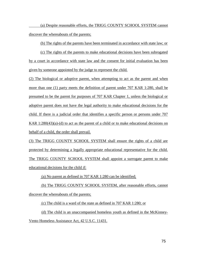(a) Despite reasonable efforts, the TRIGG COUNTY SCHOOL SYSTEM cannot discover the whereabouts of the parents;

(b) The rights of the parents have been terminated in accordance with state law; or

(c) The rights of the parents to make educational decisions have been subrogated by a court in accordance with state law and the consent for initial evaluation has been given by someone appointed by the judge to represent the child.

(2) The biological or adoptive parent, when attempting to act as the parent and when more than one (1) party meets the definition of parent under 707 KAR 1:280, shall be presumed to be the parent for purposes of 707 KAR Chapter 1, unless the biological or adoptive parent does not have the legal authority to make educational decisions for the child. If there is a judicial order that identifies a specific person or persons under 707 KAR  $1:280(43)(a)-(d)$  to act as the parent of a child or to make educational decisions on behalf of a child, the order shall prevail.

(3) The TRIGG COUNTY SCHOOL SYSTEM shall ensure the rights of a child are protected by determining a legally appropriate educational representative for the child. The TRIGG COUNTY SCHOOL SYSTEM shall appoint a surrogate parent to make educational decisions for the child if:

(a) No parent as defined in 707 KAR 1:280 can be identified;

(b) The TRIGG COUNTY SCHOOL SYSTEM, after reasonable efforts, cannot discover the whereabouts of the parents;

(c) The child is a ward of the state as defined in 707 KAR 1:280; or

(d) The child is an unaccompanied homeless youth as defined in the McKinney-Vento Homeless Assistance Act, 42 U.S.C. 11431.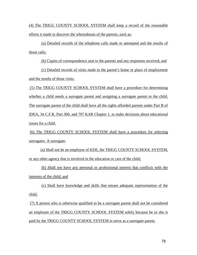(4) The TRIGG COUNTY SCHOOL SYSTEM shall keep a record of the reasonable efforts it made to discover the whereabouts of the parents, such as:

(a) Detailed records of the telephone calls made or attempted and the results of those calls;

(b) Copies of correspondence sent to the parents and any responses received; and

(c) Detailed records of visits made to the parent's home or place of employment and the results of those visits.

(5) The TRIGG COUNTY SCHOOL SYSTEM shall have a procedure for determining whether a child needs a surrogate parent and assigning a surrogate parent to the child. The surrogate parent of the child shall have all the rights afforded parents under Part B of IDEA, 34 C.F.R. Part 300, and 707 KAR Chapter 1, to make decisions about educational issues for a child.

(6) The TRIGG COUNTY SCHOOL SYSTEM shall have a procedure for selecting surrogates. A surrogate:

(a) Shall not be an employee of KDE, the TRIGG COUNTY SCHOOL SYSTEM, or any other agency that is involved in the education or care of the child;

(b) Shall not have any personal or professional interest that conflicts with the interests of the child; and

(c) Shall have knowledge and skills that ensure adequate representation of the child.

(7) A person who is otherwise qualified to be a surrogate parent shall not be considered an employee of the TRIGG COUNTY SCHOOL SYSTEM solely because he or she is paid by the TRIGG COUNTY SCHOOL SYSTEM to serve as a surrogate parent.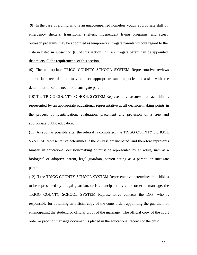(8) In the case of a child who is an unaccompanied homeless youth, appropriate staff of emergency shelters, transitional shelters, independent living programs, and street outreach programs may be appointed as temporary surrogate parents without regard to the criteria listed in subsection (6) of this section until a surrogate parent can be appointed that meets all the requirements of this section.

(9) The appropriate TRIGG COUNTY SCHOOL SYSTEM Representative reviews appropriate records and may contact appropriate state agencies to assist with the determination of the need for a surrogate parent.

(10) The TRIGG COUNTY SCHOOL SYSTEM Representative assures that each child is represented by an appropriate educational representative at all decision-making points in the process of identification, evaluation, placement and provision of a free and appropriate public education.

(11) As soon as possible after the referral is completed, the TRIGG COUNTY SCHOOL SYSTEM Representative determines if the child is emancipated, and therefore represents himself in educational decision-making or must be represented by an adult, such as a biological or adoptive parent, legal guardian, person acting as a parent, or surrogate parent.

(12) If the TRIGG COUNTY SCHOOL SYSTEM Representative determines the child is to be represented by a legal guardian, or is emancipated by court order or marriage, the TRIGG COUNTY SCHOOL SYSTEM Representative contacts the DPP, who is responsible for obtaining an official copy of the court order, appointing the guardian, or emancipating the student, or official proof of the marriage. The official copy of the court order or proof of marriage document is placed in the educational records of the child.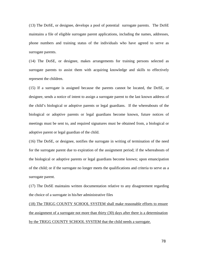(13) The DoSE, or designee, develops a pool of potential surrogate parents. The DoSE maintains a file of eligible surrogate parent applications, including the names, addresses, phone numbers and training status of the individuals who have agreed to serve as surrogate parents.

(14) The DoSE, or designee, makes arrangements for training persons selected as surrogate parents to assist them with acquiring knowledge and skills to effectively represent the children.

(15) If a surrogate is assigned because the parents cannot be located, the DoSE, or designee, sends a notice of intent to assign a surrogate parent to the last known address of the child's biological or adoptive parents or legal guardians. If the whereabouts of the biological or adoptive parents or legal guardians become known, future notices of meetings must be sent to, and required signatures must be obtained from, a biological or adoptive parent or legal guardian of the child.

(16) The DoSE, or designee, notifies the surrogate in writing of termination of the need for the surrogate parent due to expiration of the assignment period; if the whereabouts of the biological or adoptive parents or legal guardians become known; upon emancipation of the child; or if the surrogate no longer meets the qualifications and criteria to serve as a surrogate parent.

(17) The DoSE maintains written documentation relative to any disagreement regarding the choice of a surrogate in his/her administrative files

(18) The TRIGG COUNTY SCHOOL SYSTEM shall make reasonable efforts to ensure the assignment of a surrogate not more than thirty (30) days after there is a determination by the TRIGG COUNTY SCHOOL SYSTEM that the child needs a surrogate.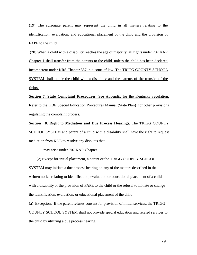(19) The surrogate parent may represent the child in all matters relating to the identification, evaluation, and educational placement of the child and the provision of FAPE to the child.

(20) When a child with a disability reaches the age of majority, all rights under 707 KAR Chapter 1 shall transfer from the parents to the child, unless the child has been declared incompetent under KRS Chapter 387 in a court of law. The TRIGG COUNTY SCHOOL SYSTEM shall notify the child with a disability and the parents of the transfer of the rights.

**Section 7. State Complaint Procedures**. See Appendix for the Kentucky regulation. Refer to the KDE Special Education Procedures Manual (State Plan) for other provisions regulating the complaint process.

**Section 8. Right to Mediation and Due Process Hearings**. The TRIGG COUNTY SCHOOL SYSTEM and parent of a child with a disability shall have the right to request mediation from KDE to resolve any disputes that

may arise under 707 KAR Chapter 1

(2) Except for initial placement, a parent or the TRIGG COUNTY SCHOOL

SYSTEM may initiate a due process hearing on any of the matters described in the written notice relating to identification, evaluation or educational placement of a child with a disability or the provision of FAPE to the child or the refusal to initiate or change the identification, evaluation, or educational placement of the child

(a) Exception: If the parent refuses consent for provision of initial services, the TRIGG COUNTY SCHOOL SYSTEM shall not provide special education and related services to the child by utilizing a due process hearing.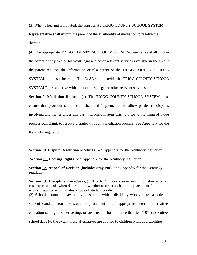(3) When a hearing is initiated, the appropriate TRIGG COUNTY SCHOOL SYSTEM Representative shall inform the parent of the availability of mediation to resolve the dispute.

(4) The appropriate TRIGG COUNTY SCHOOL SYSTEM Representative shall inform the parent of any free or low-cost legal and other relevant services available in the area if the parent requests the information or if a parent or the TRIGG COUNTY SCHOOL SYSTEM initiates a hearing. The DoSE shall provide the TRIGG COUNTY SCHOOL SYSTEM Representative with a list of these legal or other relevant services.

**Section 9. Mediation Rights.** (1). The TRIGG COUNTY SCHOOL SYSTEM must ensure that procedures are established and implemented to allow parties to disputes involving any matter under this part, including matters arising prior to the filing of a due process complaint, to resolve disputes through a mediation process. See Appendix for the Kentucky regulation.

**Section 10. Dispute Resolution Meetings.** See Appendix for the Kentucky regulation.

**Section 11. Hearing Rights**. See Appendix for the Kentucky regulation

**Section 12. Appeal of Decision (includes Stay Put)**. See Appendix for the Kentucky regulation

**Section 13. Discipline Procedures**, (1) The ARC may consider any circumstances on a case-by-case basis when determining whether to order a change in placement for a child with a disability who violates a code of student conduct. (2) School personnel may remove a student with a disability who violates a code of student conduct from the student's placement to an appropriate interim alternative education setting, another setting, or suspension, for not more than ten (10) consecutive school days (to the extent those alternatives are applied to children without disabilities).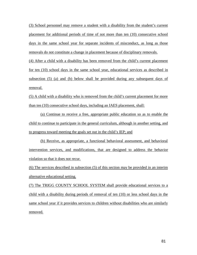(3) School personnel may remove a student with a disability from the student's current placement for additional periods of time of not more than ten (10) consecutive school days in the same school year for separate incidents of misconduct, as long as those removals do not constitute a change in placement because of disciplinary removals.

(4) After a child with a disability has been removed from the child's current placement for ten (10) school days in the same school year, educational services as described in subsection (5) (a) and (b) below shall be provided during any subsequent days of removal.

(5) A child with a disability who is removed from the child's current placement for more than ten (10) consecutive school days, including an IAES placement, shall:

(a) Continue to receive a free, appropriate public education so as to enable the child to continue to participate in the general curriculum, although in another setting, and to progress toward meeting the goals set out in the child's IEP; and

(b) Receive, as appropriate, a functional behavioral assessment, and behavioral intervention services, and modifications, that are designed to address the behavior violation so that it does not recur.

(6) The services described in subsection (5) of this section may be provided in an interim alternative educational setting.

(7) The TRIGG COUNTY SCHOOL SYSTEM shall provide educational services to a child with a disability during periods of removal of ten (10) or less school days in the same school year if it provides services to children without disabilities who are similarly removed.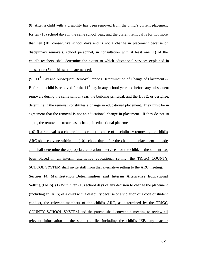(8) After a child with a disability has been removed from the child's current placement for ten (10) school days in the same school year, and the current removal is for not more than ten (10) consecutive school days and is not a change in placement because of disciplinary removals, school personnel, in consultation with at least one (1) of the child's teachers, shall determine the extent to which educational services explained in subsection (5) of this section are needed.

(9)  $11<sup>th</sup>$  Day and Subsequent Removal Periods Determination of Change of Placement --Before the child is removed for the  $11<sup>th</sup>$  day in any school year and before any subsequent removals during the same school year, the building principal, and the DoSE, or designee, determine if the removal constitutes a change in educational placement. They must be in agreement that the removal is not an educational change in placement. If they do not so agree, the removal is treated as a change in educational placement

(10) If a removal is a change in placement because of disciplinary removals, the child's ARC shall convene within ten (10) school days after the change of placement is made and shall determine the appropriate educational services for the child. If the student has been placed in an interim alternative educational setting, the TRIGG COUNTY SCHOOL SYSTEM shall invite staff from that alternative setting to the ARC meeting.

**Section 14. Manifestation Determination and Interim Alternative Educational Setting (IAES).** (1) Within ten (10) school days of any decision to change the placement (including an IAES) of a child with a disability because of a violation of a code of student conduct, the relevant members of the child's ARC, as determined by the TRIGG COUNTY SCHOOL SYSTEM and the parent, shall convene a meeting to review all relevant information in the student's file, including the child's IEP, any teacher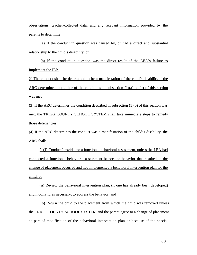observations, teacher-collected data, and any relevant information provided by the parents to determine:

(a) If the conduct in question was caused by, or had a direct and substantial relationship to the child's disability; or

(b) If the conduct in question was the direct result of the LEA's failure to implement the IEP.

2) The conduct shall be determined to be a manifestation of the child's disability if the ARC determines that either of the conditions in subsection (1)(a) or (b) of this section was met.

(3) If the ARC determines the condition described in subsection (1)(b) of this section was met, the TRIGG COUNTY SCHOOL SYSTEM shall take immediate steps to remedy those deficiencies.

(4) If the ARC determines the conduct was a manifestation of the child's disability, the ARC shall:

(a)(i) Conduct/provide for a functional behavioral assessment, unless the LEA had conducted a functional behavioral assessment before the behavior that resulted in the change of placement occurred and had implemented a behavioral intervention plan for the child; or

(ii) Review the behavioral intervention plan, (if one has already been developed) and modify it, as necessary, to address the behavior; and

(b) Return the child to the placement from which the child was removed unless the TRIGG COUNTY SCHOOL SYSTEM and the parent agree to a change of placement as part of modification of the behavioral intervention plan or because of the special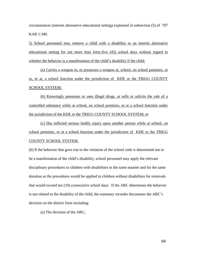circumstances (interim alternative educational setting) explained in subsection (5) of 707 KAR 1:340.

5) School personnel may remove a child with a disability to an interim alternative educational setting for not more than forty-five (45) school days without regard to whether the behavior is a manifestation of the child's disability if the child:

(a) Carries a weapon to, or possesses a weapon at, school, on school premises, or to, or at, a school function under the jurisdiction of KDE or the TRIGG COUNTY SCHOOL SYSTEM;

(b) Knowingly possesses or uses illegal drugs, or sells or solicits the sale of a controlled substance while at school, on school premises, or at a school function under the jurisdiction of the KDE or the TRIGG COUNTY SCHOOL SYSTEM; or

(c) Has inflicted serious bodily injury upon another person while at school, on school premises, or at a school function under the jurisdiction of KDE or the TRIGG COUNTY SCHOOL SYSTEM.

(6) If the behavior that gave rise to the violation of the school code is determined not to be a manifestation of the child's disability, school personnel may apply the relevant disciplinary procedures to children with disabilities in the same manner and for the same duration as the procedures would be applied to children without disabilities for removals that would exceed ten (10) consecutive school days. If the ARC determines the behavior is not related to the disability of the child, the summary recorder documents the ARC's decision on the district form including:

(a) The decision of the ARC;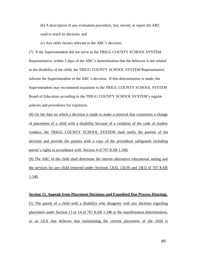(b) A description of any evaluation procedure, test, record, or report the ARC used to reach its decision; and

(c) Any other factors relevant to the ARC's decision.

(7) If the Superintendent did not serve as the TRIGG COUNTY SCHOOL SYSTEM Representative, within 2 days of the ARC's determination that the behavior is not related to the disability of the child, the TRIGG COUNTY SCHOOL SYSTEM Representative informs the Superintendent of the ARC's decision. If this determination is made, the Superintendent may recommend expulsion to the TRIGG COUNTY SCHOOL SYSTEM Board of Education according to the TRIGG COUNTY SCHOOL SYSTEM's regular policies and procedures for expulsion.

(8) On the date on which a decision is made to make a removal that constitutes a change of placement of a child with a disability because of a violation of the code of student conduct, the TRIGG COUNTY SCHOOL SYSTEM shall notify the parents of the decision and provide the parents with a copy of the procedural safeguards including parent's rights in accordance with Section 4 of 707 KAR 1:340.

(9) The ARC of the child shall determine the interim alternative educational setting and the services for any child removed under Sections 13(4), 13(10) and 14(5) of 707 KAR 1:340.

## **Section 15. Appeals from Placement Decisions and Expedited Due Process Hearings**. (1) The parent of a child with a disability who disagrees with any decision regarding placement under Section 13 or 14 of 707 KAR 1:340 or the manifestation determination, or an LEA that believes that maintaining the current placement of the child is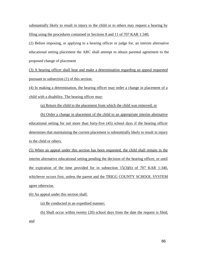substantially likely to result in injury to the child or to others may request a hearing by filing using the procedures contained in Sections 8 and 11 of 707 KAR 1:340.

(2) Before imposing, or applying to a hearing officer or judge for, an interim alternative educational setting placement the ARC shall attempt to obtain parental agreement to the proposed change of placement

(3) A hearing officer shall hear and make a determination regarding an appeal requested pursuant to subsection (1) of this section.

(4) In making a determination, the hearing officer may order a change in placement of a child with a disability. The hearing officer may:

(a) Return the child to the placement from which the child was removed; or

(b) Order a change in placement of the child to an appropriate interim alternative educational setting for not more than forty-five (45) school days if the hearing officer determines that maintaining the current placement is substantially likely to result in injury to the child or others.

(5) When an appeal under this section has been requested, the child shall remain in the interim alternative educational setting pending the decision of the hearing officer, or until the expiration of the time provided for in subsection 15(3)(b) of 707 KAR 1:340, whichever occurs first, unless the parent and the TRIGG COUNTY SCHOOL SYSTEM agree otherwise.

(6) An appeal under this section shall:

(a) Be conducted in an expedited manner;

(b) Shall occur within twenty (20) school days from the date the request is filed; and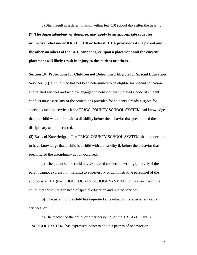(c) Shall result in a determination within ten (10) school days after the hearing. **(7) The Superintendent, or designee, may apply to an appropriate court for injunctive relief under KRS 158.150 or federal IDEA provisions if the parent and the other members of the ARC cannot agree upon a placement and the current placement will likely result in injury to the student or others.**

**Section 16**. **Protections for Children not Determined Eligible for Special Education Services:** (1) A child who has not been determined to be eligible for special education and related services and who has engaged in behavior that violated a code of student conduct may assert any of the protections provided for students already eligible for special education services if the TRIGG COUNTY SCHOOL SYSTEM had knowledge that the child was a child with a disability before the behavior that precipitated the disciplinary action occurred.

**(2) Basis of Knowledge** -- The TRIGG COUNTY SCHOOL SYSTEM shall be deemed to have knowledge that a child is a child with a disability if, before the behavior that precipitated the disciplinary action occurred:

(a) The parent of the child has expressed concern in writing (or orally if the parent cannot express it in writing) to supervisory or administrative personnel of the appropriate LEA (the TRIGG COUNTY SCHOOL SYSTEM), or to a teacher of the child, that the child is in need of special education and related services;

(b) The parent of the child has requested an evaluation for special education services; or

(c) The teacher of the child, or other personnel of the TRIGG COUNTY SCHOOL SYSTEM, has expressed concern about a pattern of behavior or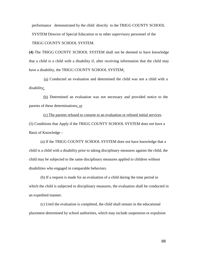performance demonstrated by the child directly to the TRIGG COUNTY SCHOOL SYSTEM Director of Special Education or to other supervisory personnel of the TRIGG COUNTY SCHOOL SYSTEM.

**(4)** The TRIGG COUNTY SCHOOL SYSTEM shall not be deemed to have knowledge that a child is a child with a disability if, after receiving information that the child may have a disability, the TRIGG COUNTY SCHOOL SYSTEM:

(a) Conducted an evaluation and determined the child was not a child with a disability;

(b) Determined an evaluation was not necessary and provided notice to the parents of these determinations; or

(c) The parents refused to consent to an evaluation or refused initial services. (5) Conditions that Apply if the TRIGG COUNTY SCHOOL SYSTEM does not have a Basis of Knowledge –

(a) If the TRIGG COUNTY SCHOOL SYSTEM does not have knowledge that a child is a child with a disability prior to taking disciplinary measures against the child, the child may be subjected to the same disciplinary measures applied to children without disabilities who engaged in comparable behaviors.

(b) If a request is made for an evaluation of a child during the time period in which the child is subjected to disciplinary measures, the evaluation shall be conducted in an expedited manner.

(c) Until the evaluation is completed, the child shall remain in the educational placement determined by school authorities, which may include suspension or expulsion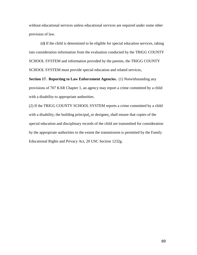without educational services unless educational services are required under some other provision of law.

(d**)** If the child is determined to be eligible for special education services, taking into consideration information from the evaluation conducted by the TRIGG COUNTY SCHOOL SYSTEM and information provided by the parents, the TRIGG COUNTY SCHOOL SYSTEM must provide special education and related services,

**Section 17. Reporting to Law Enforcement Agencies.** (1) Notwithstanding any provisions of 707 KAR Chapter 1, an agency may report a crime committed by a child with a disability to appropriate authorities.

(2) If the TRIGG COUNTY SCHOOL SYSTEM reports a crime committed by a child with a disability, the building principal, or designee, shall ensure that copies of the special education and disciplinary records of the child are transmitted for consideration by the appropriate authorities to the extent the transmission is permitted by the Family Educational Rights and Privacy Act, 20 USC Section 1232g.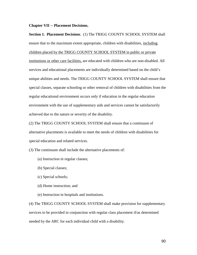## **Chapter VII -- Placement Decisions.**

**Section 1. Placement Decisions**. (1) The TRIGG COUNTY SCHOOL SYSTEM shall ensure that to the maximum extent appropriate, children with disabilities, including children placed by the TRIGG COUNTY SCHOOL SYSTEM in public or private institutions or other care facilities, are educated with children who are non-disabled. All services and educational placements are individually determined based on the child's unique abilities and needs. The TRIGG COUNTY SCHOOL SYSTEM shall ensure that special classes, separate schooling or other removal of children with disabilities from the regular educational environment occurs only if education in the regular education environment with the use of supplementary aids and services cannot be satisfactorily achieved due to the nature or severity of the disability.

(2) The TRIGG COUNTY SCHOOL SYSTEM shall ensure that a continuum of alternative placements is available to meet the needs of children with disabilities for special education and related services.

(3) The continuum shall include the alternative placements of:

- (a) Instruction in regular classes;
- (b) Special classes;
- (c) Special schools;
- (d) Home instruction; and
- (e) Instruction in hospitals and institutions.

(4) The TRIGG COUNTY SCHOOL SYSTEM shall make provision for supplementary services to be provided in conjunction with regular class placement if/as determined needed by the ARC for each individual child with a disability.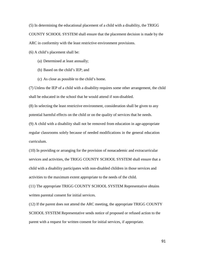(5) In determining the educational placement of a child with a disability, the TRIGG COUNTY SCHOOL SYSTEM shall ensure that the placement decision is made by the ARC in conformity with the least restrictive environment provisions.

(6) A child's placement shall be:

- (a) Determined at least annually;
- (b) Based on the child's IEP; and
- (c) As close as possible to the child's home.

(7) Unless the IEP of a child with a disability requires some other arrangement, the child shall be educated in the school that he would attend if non-disabled.

(8) In selecting the least restrictive environment, consideration shall be given to any potential harmful effects on the child or on the quality of services that he needs.

(9) A child with a disability shall not be removed from education in age-appropriate regular classrooms solely because of needed modifications in the general education curriculum.

(10) In providing or arranging for the provision of nonacademic and extracurricular services and activities, the TRIGG COUNTY SCHOOL SYSTEM shall ensure that a child with a disability participates with non-disabled children in those services and activities to the maximum extent appropriate to the needs of the child.

(11) The appropriate TRIGG COUNTY SCHOOL SYSTEM Representative obtains written parental consent for initial services.

(12) If the parent does not attend the ARC meeting, the appropriate TRIGG COUNTY SCHOOL SYSTEM Representative sends notice of proposed or refused action to the parent with a request for written consent for initial services, if appropriate.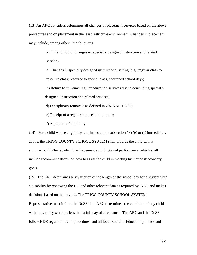(13) An ARC considers/determines all changes of placement/services based on the above procedures and on placement in the least restrictive environment. Changes in placement may include, among others, the following:

> a) Initiation of, or changes in, specially designed instruction and related services;

b) Changes in specially designed instructional setting (e.g., regular class to resource class; resource to special class, shortened school day);

c) Return to full-time regular education services due to concluding specially designed instruction and related services;

d) Disciplinary removals as defined in 707 KAR 1: 280;

e) Receipt of a regular high school diploma;

f) Aging out of eligibility.

(14) For a child whose eligibility terminates under subsection 13) (e) or (f) immediately above, the TRIGG COUNTY SCHOOL SYSTEM shall provide the child with a summary of his/her academic achievement and functional performance, which shall include recommendations on how to assist the child in meeting his/her postsecondary goals

(15) The ARC determines any variation of the length of the school day for a student with a disability by reviewing the IEP and other relevant data as required by KDE and makes decisions based on that review. The TRIGG COUNTY SCHOOL SYSTEM Representative must inform the DoSE if an ARC determines the condition of any child with a disability warrants less than a full day of attendance. The ARC and the DoSE follow KDE regulations and procedures and all local Board of Education policies and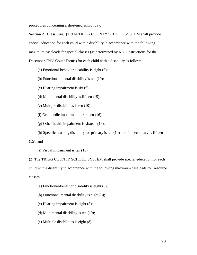procedures concerning a shortened school day.

**Section 2. Class Size.** (1) The TRIGG COUNTY SCHOOL SYSTEM shall provide special education for each child with a disability in accordance with the following maximum caseloads for special classes (as determined by KDE instructions for the December Child Count Forms) for each child with a disability as follows:

(a) Emotional-behavior disability is eight (8);

- (b) Functional mental disability is ten (10);
- (c) Hearing impairment is six (6);
- (d) Mild mental disability is fifteen (15);

(e) Multiple disabilities is ten (10);

(f) Orthopedic impairment is sixteen (16);

(g) Other health impairment is sixteen (16);

(h) Specific learning disability for primary is ten (10) and for secondary is fifteen (15); and

(i) Visual impairment is ten (10).

(2) The TRIGG COUNTY SCHOOL SYSTEM shall provide special education for each child with a disability in accordance with the following maximum caseloads for resource classes:

(a) Emotional-behavior disability is eight (8);

(b) Functional mental disability is eight (8);

- (c) Hearing impairment is eight (8);
- (d) Mild mental disability is ten (10);
- (e) Multiple disabilities is eight (8);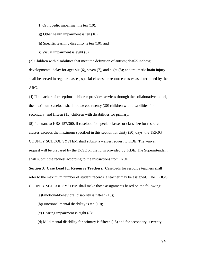(f) Orthopedic impairment is ten (10);

(g) Other health impairment is ten (10);

(h) Specific learning disability is ten (10); and

(i) Visual impairment is eight (8).

(3) Children with disabilities that meet the definition of autism; deaf-blindness; developmental delay for ages six (6), seven (7), and eight (8); and traumatic brain injury shall be served in regular classes, special classes, or resource classes as determined by the ARC.

(4) If a teacher of exceptional children provides services through the collaborative model, the maximum caseload shall not exceed twenty (20) children with disabilities for secondary, and fifteen (15) children with disabilities for primary.

(5) Pursuant to KRS 157.360, if caseload for special classes or class size for resource classes exceeds the maximum specified in this section for thirty (30) days, the TRIGG COUNTY SCHOOL SYSTEM shall submit a waiver request to KDE. The waiver request will be prepared by the DoSE on the form provided by KDE. The Superintendent shall submit the request according to the instructions from KDE.

**Section 3. Case Load for Resource Teachers.** Caseloads for resource teachers shall refer to the maximum number of student records a teacher may be assigned. The TRIGG COUNTY SCHOOL SYSTEM shall make those assignments based on the following:

(a)Emotional-behavioral disability is fifteen (15);

(b)Functional mental disability is ten (10);

(c) Hearing impairment is eight (8);

(d) Mild mental disability for primary is fifteen (15) and for secondary is twenty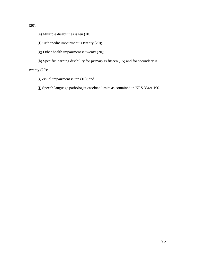$(20);$ 

- (e) Multiple disabilities is ten (10);
- (f) Orthopedic impairment is twenty (20);
- (g) Other health impairment is twenty (20);
- (h) Specific learning disability for primary is fifteen (15) and for secondary is

twenty (20);

(i)Visual impairment is ten  $(10)$ ; and

(j) Speech language pathologist caseload limits as contained in KRS 334A.190.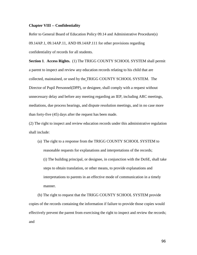## **Chapter VIII -- Confidentiality**

Refer to General Board of Education Policy 09.14 and Administrative Procedure(s) 09.14AP.1, 09.14AP.11, AND 09.14AP.111 for other provisions regarding confidentiality of records for all students.

**Section 1**. **Access Rights.** (1) The TRIGG COUNTY SCHOOL SYSTEM shall permit a parent to inspect and review any education records relating to his child that are collected, maintained, or used by the TRIGG COUNTY SCHOOL SYSTEM. The Director of Pupil Personnel(DPP), or designee, shall comply with a request without unnecessary delay and before any meeting regarding an IEP, including ARC meetings, mediations, due process hearings, and dispute resolution meetings, and in no case more than forty-five (45) days after the request has been made.

(2) The right to inspect and review education records under this administrative regulation shall include:

(a) The right to a response from the TRIGG COUNTY SCHOOL SYSTEM to reasonable requests for explanations and interpretations of the records; (i) The building principal, or designee, in conjunction with the DoSE, shall take steps to obtain translation, or other means, to provide explanations and interpretations to parents in an effective mode of communication in a timely manner.

(b) The right to request that the TRIGG COUNTY SCHOOL SYSTEM provide copies of the records containing the information if failure to provide those copies would effectively prevent the parent from exercising the right to inspect and review the records; and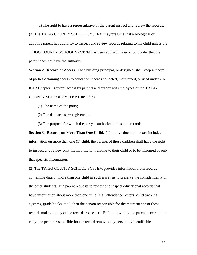(c) The right to have a representative of the parent inspect and review the records. (3) The TRIGG COUNTY SCHOOL SYSTEM may presume that a biological or adoptive parent has authority to inspect and review records relating to his child unless the TRIGG COUNTY SCHOOL SYSTEM has been advised under a court order that the parent does not have the authority.

**Section 2. Record of Access**. Each building principal, or designee, shall keep a record of parties obtaining access to education records collected, maintained, or used under 707 KAR Chapter 1 (except access by parents and authorized employees of the TRIGG COUNTY SCHOOL SYSTEM), including:

- (1) The name of the party;
- (2) The date access was given; and
- (3) The purpose for which the party is authorized to use the records.

**Section 3**. **Records on More Than One Child**. (1) If any education record includes information on more than one (1) child, the parents of those children shall have the right to inspect and review only the information relating to their child or to be informed of only that specific information.

(2) The TRIGG COUNTY SCHOOL SYSTEM provides information from records containing data on more than one child in such a way as to preserve the confidentiality of the other students. If a parent requests to review and inspect educational records that have information about more than one child (e.g., attendance rosters, child tracking systems, grade books, etc.), then the person responsible for the maintenance of those records makes a copy of the records requested. Before providing the parent access to the copy, the person responsible for the record removes any personally identifiable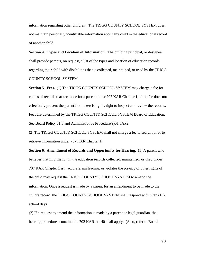information regarding other children. The TRIGG COUNTY SCHOOL SYSTEM does not maintain personally identifiable information about any child in the educational record of another child.

**Section 4. Types and Location of Information**. The building principal, or designee, shall provide parents, on request, a list of the types and location of education records regarding their child with disabilities that is collected, maintained, or used by the TRIGG COUNTY SCHOOL SYSTEM.

**Section 5**. **Fees.** (1) The TRIGG COUNTY SCHOOL SYSTEM may charge a fee for copies of records that are made for a parent under 707 KAR Chapter 1, if the fee does not effectively prevent the parent from exercising his right to inspect and review the records. Fees are determined by the TRIGG COUNTY SCHOOL SYSTEM Board of Education. See Board Policy 01.6 and Administrative Procedure(s)01.6AP2.

(2) The TRIGG COUNTY SCHOOL SYSTEM shall not charge a fee to search for or to retrieve information under 707 KAR Chapter 1.

**Section 6**. **Amendment of Records and Opportunity for Hearing**. (1) A parent who believes that information in the education records collected, maintained, or used under 707 KAR Chapter 1 is inaccurate, misleading, or violates the privacy or other rights of the child may request the TRIGG COUNTY SCHOOL SYSTEM to amend the information. Once a request is made by a parent for an amendment to be made to the child's record, the TRIGG COUNTY SCHOOL SYSTEM shall respond within ten (10) school days

(2) If a request to amend the information is made by a parent or legal guardian, the hearing procedures contained in 702 KAR 1: 140 shall apply. (Also, refer to Board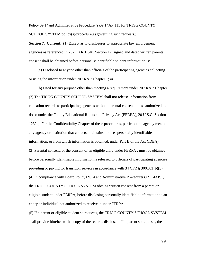Policy 09.14and Administrative Procedure (s)09.14AP.111 for TRIGG COUNTY SCHOOL SYSTEM policy(s)/procedure(s) governing such requests.)

**Section 7. Consent**. (1) Except as to disclosures to appropriate law enforcement agencies as referenced in 707 KAR 1:340, Section 17, signed and dated written parental consent shall be obtained before personally identifiable student information is:

(a) Disclosed to anyone other than officials of the participating agencies collecting or using the information under 707 KAR Chapter 1; or

(b) Used for any purpose other than meeting a requirement under 707 KAR Chapter (2) The TRIGG COUNTY SCHOOL SYSTEM shall not release information from education records to participating agencies without parental consent unless authorized to do so under the Family Educational Rights and Privacy Act (FERPA), 20 U.S.C. Section 1232g. For the Confidentiality Chapter of these procedures, participating agency means any agency or institution that collects, maintains, or uses personally identifiable information, or from which information is obtained, under Part B of the Act (IDEA). (3) Parental consent, or the consent of an eligible child under FERPA , must be obtained before personally identifiable information is released to officials of participating agencies providing or paying for transition services in accordance with 34 CFR § 300.321(b)(3). (4) In compliance with Board Policy 09.14 and Administrative Procedure(s)09.14AP.1, the TRIGG COUNTY SCHOOL SYSTEM obtains written consent from a parent or eligible student under FERPA, before disclosing personally identifiable information to an entity or individual not authorized to receive it under FERPA.

(5) If a parent or eligible student so requests, the TRIGG COUNTY SCHOOL SYSTEM shall provide him/her with a copy of the records disclosed. If a parent so requests, the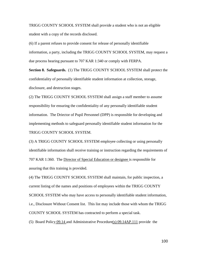TRIGG COUNTY SCHOOL SYSTEM shall provide a student who is not an eligible student with a copy of the records disclosed.

(6) If a parent refuses to provide consent for release of personally identifiable information, a party, including the TRIGG COUNTY SCHOOL SYSTEM, may request a due process hearing pursuant to 707 KAR 1:340 or comply with FERPA.

**Section 8. Safeguards.** (1) The TRIGG COUNTY SCHOOL SYSTEM shall protect the confidentiality of personally identifiable student information at collection, storage, disclosure, and destruction stages.

(2) The TRIGG COUNTY SCHOOL SYSTEM shall assign a staff member to assume responsibility for ensuring the confidentiality of any personally identifiable student information. The Driector of Pupil Personnel (DPP) is responsible for developing and implementing methods to safeguard personally identifiable student information for the TRIGG COUNTY SCHOOL SYSTEM.

(3) A TRIGG COUNTY SCHOOL SYSTEM employee collecting or using personally identifiable information shall receive training or instruction regarding the requirements of 707 KAR 1:360. The Director of Special Education or designee is responsible for assuring that this training is provided.

(4) The TRIGG COUNTY SCHOOL SYSTEM shall maintain, for public inspection, a current listing of the names and positions of employees within the TRIGG COUNTY SCHOOL SYSTEM who may have access to personally identifiable student information, i.e., Disclosure Without Consent list. This list may include those with whom the TRIGG COUNTY SCHOOL SYSTEM has contracted to perform a special task.

(5) Board Policy 09.14 and Administrative Procedure(s) 09.14AP.111 provide the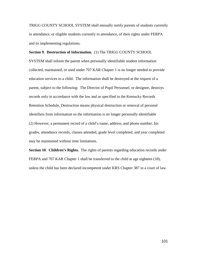TRIGG COUNTY SCHOOL SYSTEM shall annually notify parents of students currently in attendance, or eligible students currently in attendance, of their rights under FERPA and its implementing regulations.

**Section 9**. **Destruction of Information**. (1) The TRIGG COUNTY SCHOOL SYSTEM shall inform the parent when personally identifiable student information collected, maintained, or used under 707 KAR Chapter 1 is no longer needed to provide education services to a child. The information shall be destroyed at the request of a parent, subject to the following: The Director of Pupil Personnel, or designee, destroys records only in accordance with the law and as specified in the Kentucky Records Retention Schedule. Destruction means physical destruction or removal of personal identifiers from information so the information is no longer personally identifiable (2) However, a permanent record of a child's name, address, and phone number, his grades, attendance records, classes attended, grade level completed, and year completed may be maintained without time limitations.

**Section 10**. **Children's Rights.** The rights of parents regarding education records under FERPA and 707 KAR Chapter 1 shall be transferred to the child at age eighteen (18), unless the child has been declared incompetent under KRS Chapter 387 in a court of law.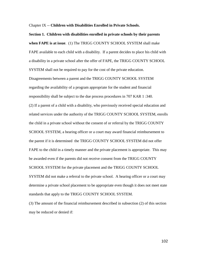Chapter IX -- **Children with Disabilities Enrolled in Private Schools.**

**Section 1. Children with disabilities enrolled in private schools by their parents when FAPE is at issue**. (1) The TRIGG COUNTY SCHOOL SYSTEM shall make FAPE available to each child with a disability. If a parent decides to place his child with a disability in a private school after the offer of FAPE, the TRIGG COUNTY SCHOOL SYSTEM shall not be required to pay for the cost of the private education.

Disagreements between a parent and the TRIGG COUNTY SCHOOL SYSTEM regarding the availability of a program appropriate for the student and financial responsibility shall be subject to the due process procedures in 707 KAR 1 :340. (2) If a parent of a child with a disability, who previously received special education and related services under the authority of the TRIGG COUNTY SCHOOL SYSTEM, enrolls the child in a private school without the consent of or referral by the TRIGG COUNTY SCHOOL SYSTEM, a hearing officer or a court may award financial reimbursement to the parent if it is determined the TRIGG COUNTY SCHOOL SYSTEM did not offer FAPE to the child in a timely manner and the private placement is appropriate. This may be awarded even if the parents did not receive consent from the TRIGG COUNTY SCHOOL SYSTEM for the private placement and the TRIGG COUNTY SCHOOL SYSTEM did not make a referral to the private school. A hearing officer or a court may determine a private school placement to be appropriate even though it does not meet state standards that apply to the TRIGG COUNTY SCHOOL SYSTEM.

(3) The amount of the financial reimbursement described in subsection (2) of this section may be reduced or denied if: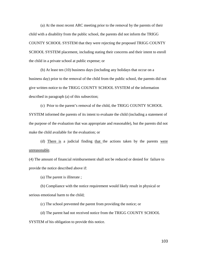(a) At the most recent ARC meeting prior to the removal by the parents of their child with a disability from the public school, the parents did not inform the TRIGG COUNTY SCHOOL SYSTEM that they were rejecting the proposed TRIGG COUNTY SCHOOL SYSTEM placement, including stating their concerns and their intent to enroll the child in a private school at public expense; or

(b) At least ten (10) business days (including any holidays that occur on a business day) prior to the removal of the child from the public school, the parents did not give written notice to the TRIGG COUNTY SCHOOL SYSTEM of the information described in paragraph (a) of this subsection;

(c) Prior to the parent's removal of the child, the TRIGG COUNTY SCHOOL SYSTEM informed the parents of its intent to evaluate the child (including a statement of the purpose of the evaluation that was appropriate and reasonable), but the parents did not make the child available for the evaluation; or

(d) There is a judicial finding that the actions taken by the parents were unreasonable.

(4) The amount of financial reimbursement shall not be reduced or denied for failure to provide the notice described above if:

(a) The parent is illiterate ;

(b) Compliance with the notice requirement would likely result in physical or serious emotional harm to the child;

(c) The school prevented the parent from providing the notice; or

(d) The parent had not received notice from the TRIGG COUNTY SCHOOL SYSTEM of his obligation to provide this notice.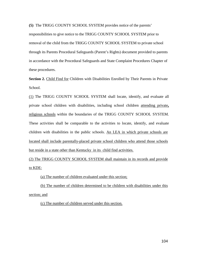**(5)** The TRIGG COUNTY SCHOOL SYSTEM provides notice of the parents'

responsibilities to give notice to the TRIGG COUNTY SCHOOL SYSTEM prior to removal of the child from the TRIGG COUNTY SCHOOL SYSTEM to private school through its Parents Procedural Safeguards (Parent's Rights) document provided to parents in accordance with the Procedural Safeguards and State Complaint Procedures Chapter of these procedures.

**Section 2.** Child Find for Children with Disabilities Enrolled by Their Parents in Private School.

(1) The TRIGG COUNTY SCHOOL SYSTEM shall locate, identify, and evaluate all private school children with disabilities, including school children attending private**,** religious schools within the boundaries of the TRIGG COUNTY SCHOOL SYSTEM. These activities shall be comparable to the activities to locate, identify, and evaluate children with disabilities in the public schools. An LEA in which private schools are located shall include parentally-placed private school children who attend those schools but reside in a state other than Kentucky in its child find activities.

(2) The TRIGG COUNTY SCHOOL SYSTEM shall maintain in its records and provide to KDE:

(a) The number of children evaluated under this section;

(b) The number of children determined to be children with disabilities under this section; and

(c) The number of children served under this section.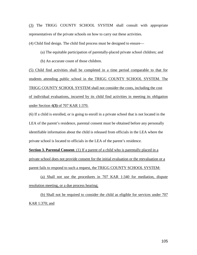(3) The TRIGG COUNTY SCHOOL SYSTEM shall consult with appropriate representatives of the private schools on how to carry out these activities.

(4) Child find design. The child find process must be designed to ensure—

(a) The equitable participation of parentally-placed private school children; and

(b) An accurate count of those children.

(5) Child find activities shall be completed in a time period comparable to that for students attending public school in the TRIGG COUNTY SCHOOL SYSTEM. The TRIGG COUNTY SCHOOL SYSTEM shall not consider the costs, including the cost of individual evaluations, incurred by its child find activities in meeting its obligation under Section 4**(3)** of 707 KAR 1:370.

(6) If a child is enrolled, or is going to enroll in a private school that is not located in the LEA of the parent's residence, parental consent must be obtained before any personally identifiable information about the child is released from officials in the LEA where the private school is located to officials in the LEA of the parent's residence.

**Section 3. Parental Consent**. (1) If a parent of a child who is parentally placed in a private school does not provide consent for the initial evaluation or the reevaluation or a parent fails to respond to such a request, the TRIGG COUNTY SCHOOL SYSTEM:

(a) Shall not use the procedures in 707 KAR 1:340 for mediation, dispute resolution meeting, or a due process hearing;

(b) Shall not be required to consider the child as eligible for services under 707 KAR 1:370; and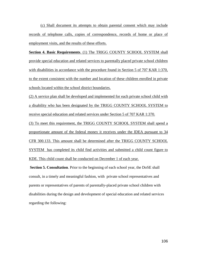(c) Shall document its attempts to obtain parental consent which may include records of telephone calls, copies of correspondence, records of home or place of employment visits, and the results of these efforts.

**Section 4. Basic Requirements**. (1) The TRIGG COUNTY SCHOOL SYSTEM shall provide special education and related services to parentally placed private school children with disabilities in accordance with the procedure found in Section 5 of 707 KAR 1:370, to the extent consistent with the number and location of these children enrolled in private schools located within the school district boundaries.

(2) A service plan shall be developed and implemented for each private school child with a disability who has been designated by the TRIGG COUNTY SCHOOL SYSTEM to receive special education and related services under Section 5 of 707 KAR 1:370.

(3) To meet this requirement, the TRIGG COUNTY SCHOOL SYSTEM shall spend a proportionate amount of the federal money it receives under the IDEA pursuant to 34 CFR 300.133. This amount shall be determined after the TRIGG COUNTY SCHOOL SYSTEM has completed its child find activities and submitted a child count figure to KDE. This child count shall be conducted on December 1 of each year.

**Section 5. Consultation**. Prior to the beginning of each school year, the DoSE shall consult, in a timely and meaningful fashion, with private school representatives and parents or representatives of parents of parentally-placed private school children with disabilities during the design and development of special education and related services regarding the following: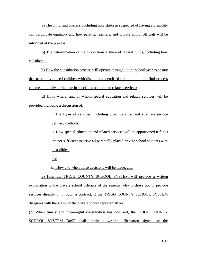(a) The child find process, including how children suspected of having a disability can participate equitably and how parents, teachers, and private school officials will be informed of the process;

(b) The determination of the proportionate share of federal funds, including how calculated;

(c) How the consultation process will operate throughout the school year to ensure that parentally-placed children with disabilities identified through the child find process can meaningfully participate in special education and related services;

(d) How, where, and by whom special education and related services will be provided including a discussion of:

> i. The types of services, including direct services and alternate service delivery methods;

> ii. How special education and related services will be apportioned if funds are not sufficient to serve all parentally placed private school students with disabilities;

and

iii. How and when those decisions will be made; and

(e) How the TRIGG COUNTY SCHOOL SYSTEM will provide a written explanation to the private school officials of the reasons why it chose not to provide services directly or through a contract, if the TRIGG COUNTY SCHOOL SYSTEM disagrees with the views of the private school representatives.

(2) When timely and meaningful consultation has occurred, the TRIGG COUNTY SCHOOL SYSTEM DoSE shall obtain a written affirmation signed by the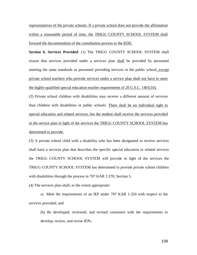representatives of the private schools. If a private school does not provide the affirmation within a reasonable period of time, the TRIGG COUNTY SCHOOL SYSTEM shall forward the documentation of the consultation process to the KDE.

**Section 6. Services Provided**. (1) The TRIGG COUNTY SCHOOL SYSTEM shall ensure that services provided under a services plan shall be provided by personnel meeting the same standards as personnel providing services in the public school, except private school teachers who provide services under a service plan shall not have to meet the highly-qualified special education teacher requirements of 20 U.S.C. 1401(10).

(2) Private school children with disabilities may receive a different amount of services than children with disabilities in public schools. There shall be no individual right to special education and related services, but the student shall receive the services provided in the service plan in light of the services the TRIGG COUNTY SCHOOL SYSTEM has determined to provide.

(3) A private school child with a disability who has been designated to receive services shall have a services plan that describes the specific special education or related services the TRIGG COUNTY SCHOOL SYSTEM will provide in light of the services the TRIGG COUNTY SCHOOL SYSTEM has determined to provide private school children with disabilities through the process in 707 KAR 1:370, Section 5.

(4) The services plan shall, to the extent appropriate:

a) Meet the requirements of an IEP under 707 KAR 1:320 with respect to the services provided; and

(b) Be developed, reviewed, and revised consistent with the requirements to develop, review, and revise IEPs.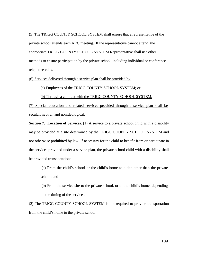(5) The TRIGG COUNTY SCHOOL SYSTEM shall ensure that a representative of the private school attends each ARC meeting. If the representative cannot attend, the appropriate TRIGG COUNTY SCHOOL SYSTEM Representative shall use other methods to ensure participation by the private school, including individual or conference telephone calls.

(6) Services delivered through a service plan shall be provided by:

(a) Employees of the TRIGG COUNTY SCHOOL SYSTEM; or

(b) Through a contract with the TRIGG COUNTY SCHOOL SYSTEM.

(7) Special education and related services provided through a service plan shall be secular, neutral, and nonideological.

**Section 7. Location of Services.** (1) A service to a private school child with a disability may be provided at a site determined by the TRIGG COUNTY SCHOOL SYSTEM and not otherwise prohibited by law. If necessary for the child to benefit from or participate in the services provided under a service plan, the private school child with a disability shall be provided transportation:

(a) From the child's school or the child's home to a site other than the private school; and

(b) From the service site to the private school, or to the child's home, depending on the timing of the services.

(2) The TRIGG COUNTY SCHOOL SYSTEM is not required to provide transportation from the child's home to the private school.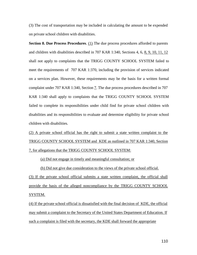(3) The cost of transportation may be included in calculating the amount to be expended on private school children with disabilities.

**Section 8. Due Process Procedures.** (1) The due process procedures afforded to parents and children with disabilities described in 707 KAR 1:340, Sections 4, 6, 8, 9, 10, 11, 12 shall not apply to complaints that the TRIGG COUNTY SCHOOL SYSTEM failed to meet the requirements of 707 KAR 1:370, including the provision of services indicated on a services plan. However, these requirements may be the basis for a written formal complaint under 707 KAR 1:340, Section 7. The due process procedures described in 707 KAR 1:340 shall apply to complaints that the TRIGG COUNTY SCHOOL SYSTEM failed to complete its responsibilities under child find for private school children with disabilities and its responsibilities to evaluate and determine eligibility for private school children with disabilities.

(2) A private school official has the right to submit a state written complaint to the TRIGG COUNTY SCHOOL SYSTEM and KDE as outlined in 707 KAR 1:340, Section 7, for allegations that the TRIGG COUNTY SCHOOL SYSTEM:

(a) Did not engage in timely and meaningful consultation; or

(b) Did not give due consideration to the views of the private school official.

(3) If the private school official submits a state written complaint, the official shall provide the basis of the alleged noncompliance by the TRIGG COUNTY SCHOOL SYSTEM.

(4) If the private school official is dissatisfied with the final decision of KDE, the official may submit a complaint to the Secretary of the United States Department of Education. If such a complaint is filed with the secretary, the KDE shall forward the appropriate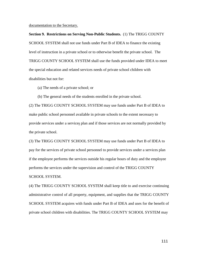documentation to the Secretary.

**Section 9. Restrictions on Serving Non-Public Students.** (1) The TRIGG COUNTY SCHOOL SYSTEM shall not use funds under Part B of IDEA to finance the existing level of instruction in a private school or to otherwise benefit the private school. The TRIGG COUNTY SCHOOL SYSTEM shall use the funds provided under IDEA to meet the special education and related services needs of private school children with disabilities but not for:

(a) The needs of a private school; or

(b) The general needs of the students enrolled in the private school.

(2) The TRIGG COUNTY SCHOOL SYSTEM may use funds under Part B of IDEA to make public school personnel available in private schools to the extent necessary to provide services under a services plan and if those services are not normally provided by the private school.

(3) The TRIGG COUNTY SCHOOL SYSTEM may use funds under Part B of IDEA to pay for the services of private school personnel to provide services under a services plan if the employee performs the services outside his regular hours of duty and the employee performs the services under the supervision and control of the TRIGG COUNTY SCHOOL SYSTEM.

(4) The TRIGG COUNTY SCHOOL SYSTEM shall keep title to and exercise continuing administrative control of all property, equipment, and supplies that the TRIGG COUNTY SCHOOL SYSTEM acquires with funds under Part B of IDEA and uses for the benefit of private school children with disabilities. The TRIGG COUNTY SCHOOL SYSTEM may

111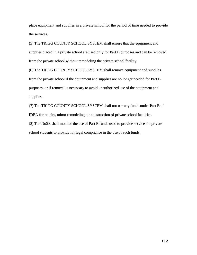place equipment and supplies in a private school for the period of time needed to provide the services.

(5) The TRIGG COUNTY SCHOOL SYSTEM shall ensure that the equipment and supplies placed in a private school are used only for Part B purposes and can be removed from the private school without remodeling the private school facility.

(6) The TRIGG COUNTY SCHOOL SYSTEM shall remove equipment and supplies from the private school if the equipment and supplies are no longer needed for Part B purposes, or if removal is necessary to avoid unauthorized use of the equipment and supplies.

(7) The TRIGG COUNTY SCHOOL SYSTEM shall not use any funds under Part B of IDEA for repairs, minor remodeling, or construction of private school facilities. (8) The DoSE shall monitor the use of Part B funds used to provide services to private school students to provide for legal compliance in the use of such funds.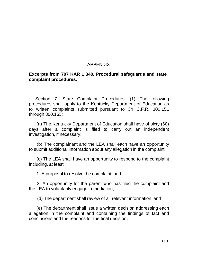## APPENDIX

## **Excerpts from 707 KAR 1:340. Procedural safeguards and state complaint procedures.**

Section 7. State Complaint Procedures. (1) The following procedures shall apply to the Kentucky Department of Education as to written complaints submitted pursuant to 34 C.F.R. 300.151 through 300.153:

(a) The Kentucky Department of Education shall have of sixty (60) days after a complaint is filed to carry out an independent investigation, if necessary;

(b) The complainant and the LEA shall each have an opportunity to submit additional information about any allegation in the complaint;

(c) The LEA shall have an opportunity to respond to the complaint including, at least:

1. A proposal to resolve the complaint; and

2. An opportunity for the parent who has filed the complaint and the LEA to voluntarily engage in mediation;

(d) The department shall review of all relevant information; and

(e) The department shall issue a written decision addressing each allegation in the complaint and containing the findings of fact and conclusions and the reasons for the final decision.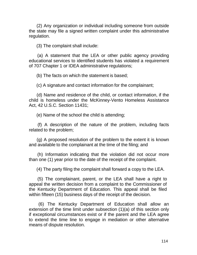(2) Any organization or individual including someone from outside the state may file a signed written complaint under this administrative regulation.

(3) The complaint shall include:

(a) A statement that the LEA or other public agency providing educational services to identified students has violated a requirement of 707 Chapter 1 or IDEA administrative regulations;

(b) The facts on which the statement is based;

(c) A signature and contact information for the complainant;

(d) Name and residence of the child, or contact information, if the child is homeless under the McKinney-Vento Homeless Assistance Act, 42 U.S.C. Section 11431;

(e) Name of the school the child is attending;

(f) A description of the nature of the problem, including facts related to the problem;

(g) A proposed resolution of the problem to the extent it is known and available to the complainant at the time of the filing; and

(h) Information indicating that the violation did not occur more than one (1) year prior to the date of the receipt of the complaint.

(4) The party filing the complaint shall forward a copy to the LEA.

(5) The complainant, parent, or the LEA shall have a right to appeal the written decision from a complaint to the Commissioner of the Kentucky Department of Education. This appeal shall be filed within fifteen (15) business days of the receipt of the decision.

(6) The Kentucky Department of Education shall allow an extension of the time limit under subsection (1)(a) of this section only if exceptional circumstances exist or if the parent and the LEA agree to extend the time line to engage in mediation or other alternative means of dispute resolution.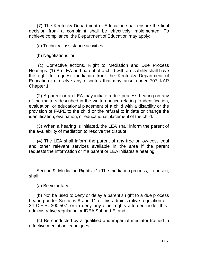(7) The Kentucky Department of Education shall ensure the final decision from a complaint shall be effectively implemented. To achieve compliance, the Department of Education may apply:

(a) Technical assistance activities;

(b) Negotiations; or

(c) Corrective actions. Right to Mediation and Due Process Hearings. (1) An LEA and parent of a child with a disability shall have the right to request mediation from the Kentucky Department of Education to resolve any disputes that may arise under 707 KAR Chapter 1.

(2) A parent or an LEA may initiate a due process hearing on any of the matters described in the written notice relating to identification, evaluation, or educational placement of a child with a disability or the provision of FAPE to the child or the refusal to initiate or change the identification, evaluation, or educational placement of the child.

(3) When a hearing is initiated, the LEA shall inform the parent of the availability of mediation to resolve the dispute.

(4) The LEA shall inform the parent of any free or low-cost legal and other relevant services available in the area if the parent requests the information or if a parent or LEA initiates a hearing.

Section 9. Mediation Rights. (1) The mediation process, if chosen, shall:

(a) Be voluntary;

(b) Not be used to deny or delay a parent's right to a due process hearing under Sections 8 and 11 of this administrative regulation or 34 C.F.R. 300.507, or to deny any other rights afforded under this administrative regulation or IDEA Subpart E; and

(c) Be conducted by a qualified and impartial mediator trained in effective mediation techniques.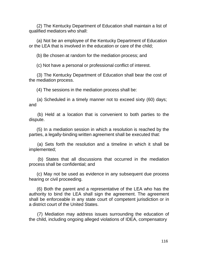(2) The Kentucky Department of Education shall maintain a list of qualified mediators who shall:

(a) Not be an employee of the Kentucky Department of Education or the LEA that is involved in the education or care of the child;

(b) Be chosen at random for the mediation process; and

(c) Not have a personal or professional conflict of interest.

(3) The Kentucky Department of Education shall bear the cost of the mediation process.

(4) The sessions in the mediation process shall be:

and (a) Scheduled in a timely manner not to exceed sixty (60) days;

(b) Held at a location that is convenient to both parties to the dispute.

(5) In a mediation session in which a resolution is reached by the parties, a legally-binding written agreement shall be executed that:

(a) Sets forth the resolution and a timeline in which it shall be implemented;

(b) States that all discussions that occurred in the mediation process shall be confidential; and

(c) May not be used as evidence in any subsequent due process hearing or civil proceeding.

(6) Both the parent and a representative of the LEA who has the authority to bind the LEA shall sign the agreement. The agreement shall be enforceable in any state court of competent jurisdiction or in a district court of the United States.

(7) Mediation may address issues surrounding the education of the child, including ongoing alleged violations of IDEA, compensatory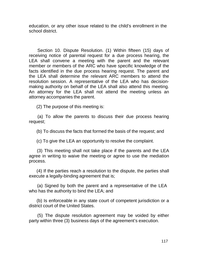education, or any other issue related to the child's enrollment in the school district.

Section 10. Dispute Resolution. (1) Within fifteen (15) days of receiving notice of parental request for a due process hearing, the LEA shall convene a meeting with the parent and the relevant member or members of the ARC who have specific knowledge of the facts identified in the due process hearing request. The parent and the LEA shall determine the relevant ARC members to attend the resolution session. A representative of the LEA who has decisionmaking authority on behalf of the LEA shall also attend this meeting. An attorney for the LEA shall not attend the meeting unless an attorney accompanies the parent.

(2) The purpose of this meeting is:

(a) To allow the parents to discuss their due process hearing request;

(b) To discuss the facts that formed the basis of the request; and

(c) To give the LEA an opportunity to resolve the complaint.

(3) This meeting shall not take place if the parents and the LEA agree in writing to waive the meeting or agree to use the mediation process.

(4) If the parties reach a resolution to the dispute, the parties shall execute a legally-binding agreement that is;

(a) Signed by both the parent and a representative of the LEA who has the authority to bind the LEA; and

(b) Is enforceable in any state court of competent jurisdiction or a district court of the United States.

(5) The dispute resolution agreement may be voided by either party within three (3) business days of the agreement's execution.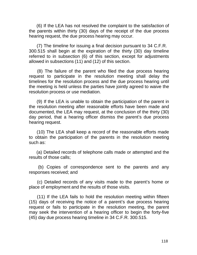(6) If the LEA has not resolved the complaint to the satisfaction of the parents within thirty (30) days of the receipt of the due process hearing request, the due process hearing may occur.

(7) The timeline for issuing a final decision pursuant to 34 C.F.R. 300.515 shall begin at the expiration of the thirty (30) day timeline referred to in subsection (6) of this section, except for adjustments allowed in subsections (11) and (12) of this section.

(8) The failure of the parent who filed the due process hearing request to participate in the resolution meeting shall delay the timelines for the resolution process and the due process hearing until the meeting is held unless the parties have jointly agreed to waive the resolution process or use mediation.

(9) If the LEA is unable to obtain the participation of the parent in the resolution meeting after reasonable efforts have been made and documented, the LEA may request, at the conclusion of the thirty (30) day period, that a hearing officer dismiss the parent's due process hearing request.

(10) The LEA shall keep a record of the reasonable efforts made to obtain the participation of the parents in the resolution meeting such as:

(a) Detailed records of telephone calls made or attempted and the results of those calls;

(b) Copies of correspondence sent to the parents and any responses received; and

(c) Detailed records of any visits made to the parent's home or place of employment and the results of those visits.

(11) If the LEA fails to hold the resolution meeting within fifteen (15) days of receiving the notice of a parent's due process hearing request or fails to participate in the resolution meeting, the parent may seek the intervention of a hearing officer to begin the forty-five (45) day due process hearing timeline in 34 C.F.R. 300.515.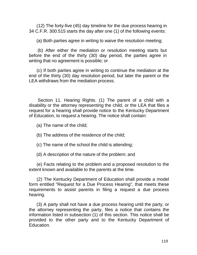(12) The forty-five (45) day timeline for the due process hearing in 34 C.F.R. 300.515 starts the day after one (1) of the following events:

(a) Both parties agree in writing to waive the resolution meeting;

(b) After either the mediation or resolution meeting starts but before the end of the thirty (30) day period, the parties agree in writing that no agreement is possible; or

(c) If both parties agree in writing to continue the mediation at the end of the thirty (30) day resolution period, but later the parent or the LEA withdraws from the mediation process.

Section 11. Hearing Rights. (1) The parent of a child with a disability or the attorney representing the child, or the LEA that files a request for a hearing shall provide notice to the Kentucky Department of Education, to request a hearing. The notice shall contain:

(a) The name of the child;

- (b) The address of the residence of the child;
- (c) The name of the school the child is attending;

(d) A description of the nature of the problem; and

(e) Facts relating to the problem and a proposed resolution to the extent known and available to the parents at the time.

(2) The Kentucky Department of Education shall provide a model form entitled "Request for a Due Process Hearing", that meets these requirements to assist parents in filing a request a due process hearing.

(3) A party shall not have a due process hearing until the party, or the attorney representing the party, files a notice that contains the information listed in subsection (1) of this section. This notice shall be provided to the other party and to the Kentucky Department of Education.